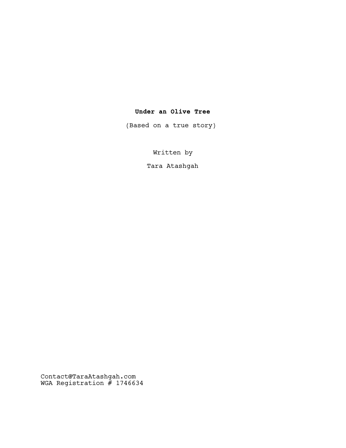## **Under an Olive Tree**

(Based on a true story)

Written by

Tara Atashgah

Contact@TaraAtashgah.com WGA Registration # 1746634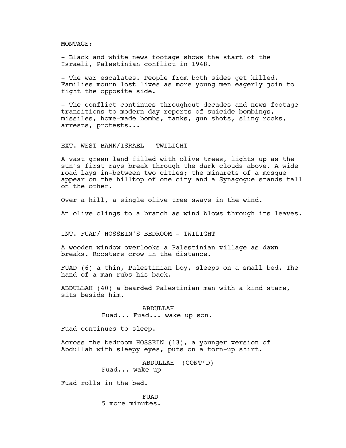MONTAGE:

- Black and white news footage shows the start of the Israeli, Palestinian conflict in 1948.

- The war escalates. People from both sides get killed. Families mourn lost lives as more young men eagerly join to fight the opposite side.

- The conflict continues throughout decades and news footage transitions to modern-day reports of suicide bombings, missiles, home-made bombs, tanks, gun shots, sling rocks, arrests, protests...

EXT. WEST-BANK/ISRAEL - TWILIGHT

A vast green land filled with olive trees, lights up as the sun's first rays break through the dark clouds above. A wide road lays in-between two cities; the minarets of a mosque appear on the hilltop of one city and a Synagogue stands tall on the other.

Over a hill, a single olive tree sways in the wind.

An olive clings to a branch as wind blows through its leaves.

INT. FUAD/ HOSSEIN'S BEDROOM - TWILIGHT

A wooden window overlooks a Palestinian village as dawn breaks. Roosters crow in the distance.

FUAD (6) a thin, Palestinian boy, sleeps on a small bed. The hand of a man rubs his back.

ABDULLAH (40) a bearded Palestinian man with a kind stare, sits beside him.

> ABDULLAH Fuad... Fuad... wake up son.

Fuad continues to sleep.

Across the bedroom HOSSEIN (13), a younger version of Abdullah with sleepy eyes, puts on a torn-up shirt.

> ABDULLAH (CONT'D) Fuad... wake up

Fuad rolls in the bed.

FUAD 5 more minutes.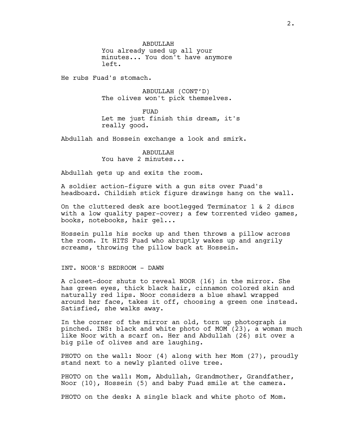ABDULLAH

You already used up all your minutes... You don't have anymore left.

He rubs Fuad's stomach.

ABDULLAH (CONT'D) The olives won't pick themselves.

FUAD Let me just finish this dream, it's really good.

Abdullah and Hossein exchange a look and smirk.

ABDULLAH You have 2 minutes...

Abdullah gets up and exits the room.

A soldier action-figure with a gun sits over Fuad's headboard. Childish stick figure drawings hang on the wall.

On the cluttered desk are bootlegged Terminator 1 & 2 discs with a low quality paper-cover; a few torrented video games, books, notebooks, hair gel...

Hossein pulls his socks up and then throws a pillow across the room. It HITS Fuad who abruptly wakes up and angrily screams, throwing the pillow back at Hossein.

INT. NOOR'S BEDROOM - DAWN

A closet-door shuts to reveal NOOR (16) in the mirror. She has green eyes, thick black hair, cinnamon colored skin and naturally red lips. Noor considers a blue shawl wrapped around her face, takes it off, choosing a green one instead. Satisfied, she walks away.

In the corner of the mirror an old, torn up photograph is pinched. INS: black and white photo of MOM (23), a woman much like Noor with a scarf on. Her and Abdullah (26) sit over a big pile of olives and are laughing.

PHOTO on the wall: Noor (4) along with her Mom (27), proudly stand next to a newly planted olive tree.

PHOTO on the wall: Mom, Abdullah, Grandmother, Grandfather, Noor (10), Hossein (5) and baby Fuad smile at the camera.

PHOTO on the desk: A single black and white photo of Mom.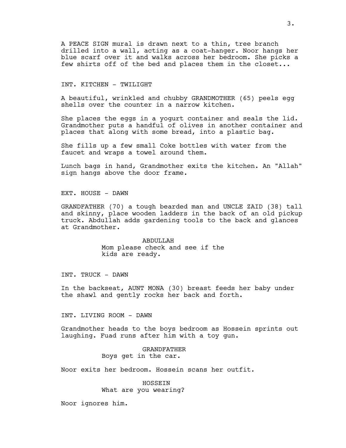A PEACE SIGN mural is drawn next to a thin, tree branch drilled into a wall, acting as a coat-hanger. Noor hangs her blue scarf over it and walks across her bedroom. She picks a few shirts off of the bed and places them in the closet...

INT. KITCHEN - TWILIGHT

A beautiful, wrinkled and chubby GRANDMOTHER (65) peels egg shells over the counter in a narrow kitchen.

She places the eggs in a yogurt container and seals the lid. Grandmother puts a handful of olives in another container and places that along with some bread, into a plastic bag.

She fills up a few small Coke bottles with water from the faucet and wraps a towel around them.

Lunch bags in hand, Grandmother exits the kitchen. An "Allah" sign hangs above the door frame.

EXT. HOUSE - DAWN

GRANDFATHER (70) a tough bearded man and UNCLE ZAID (38) tall and skinny, place wooden ladders in the back of an old pickup truck. Abdullah adds gardening tools to the back and glances at Grandmother.

> ABDULLAH Mom please check and see if the kids are ready.

INT. TRUCK - DAWN

In the backseat, AUNT MONA (30) breast feeds her baby under the shawl and gently rocks her back and forth.

INT. LIVING ROOM - DAWN

Grandmother heads to the boys bedroom as Hossein sprints out laughing. Fuad runs after him with a toy gun.

> GRANDFATHER Boys get in the car.

Noor exits her bedroom. Hossein scans her outfit.

HOSSEIN What are you wearing?

Noor ignores him.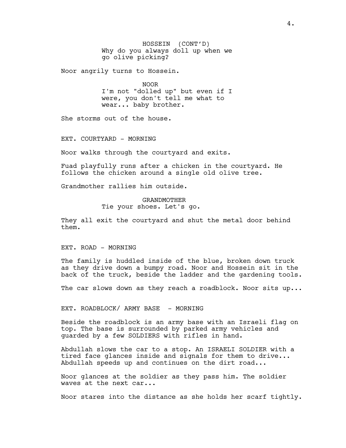HOSSEIN (CONT'D) Why do you always doll up when we go olive picking?

Noor angrily turns to Hossein.

NOOR I'm not "dolled up" but even if I were, you don't tell me what to wear... baby brother.

She storms out of the house.

EXT. COURTYARD - MORNING

Noor walks through the courtyard and exits.

Fuad playfully runs after a chicken in the courtyard. He follows the chicken around a single old olive tree.

Grandmother rallies him outside.

GRANDMOTHER Tie your shoes. Let's go.

They all exit the courtyard and shut the metal door behind them.

EXT. ROAD - MORNING

The family is huddled inside of the blue, broken down truck as they drive down a bumpy road. Noor and Hossein sit in the back of the truck, beside the ladder and the gardening tools.

The car slows down as they reach a roadblock. Noor sits up...

EXT. ROADBLOCK/ ARMY BASE - MORNING

Beside the roadblock is an army base with an Israeli flag on top. The base is surrounded by parked army vehicles and guarded by a few SOLDIERS with rifles in hand.

Abdullah slows the car to a stop. An ISRAELI SOLDIER with a tired face glances inside and signals for them to drive... Abdullah speeds up and continues on the dirt road...

Noor glances at the soldier as they pass him. The soldier waves at the next car...

Noor stares into the distance as she holds her scarf tightly.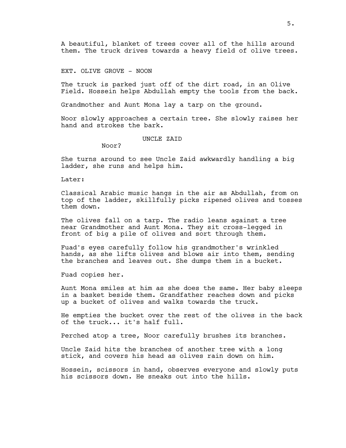A beautiful, blanket of trees cover all of the hills around them. The truck drives towards a heavy field of olive trees.

EXT. OLIVE GROVE - NOON

The truck is parked just off of the dirt road, in an Olive Field. Hossein helps Abdullah empty the tools from the back.

Grandmother and Aunt Mona lay a tarp on the ground.

Noor slowly approaches a certain tree. She slowly raises her hand and strokes the bark.

UNCLE ZAID

Noor?

She turns around to see Uncle Zaid awkwardly handling a big ladder, she runs and helps him.

Later:

Classical Arabic music hangs in the air as Abdullah, from on top of the ladder, skillfully picks ripened olives and tosses them down.

The olives fall on a tarp. The radio leans against a tree near Grandmother and Aunt Mona. They sit cross-legged in front of big a pile of olives and sort through them.

Fuad's eyes carefully follow his grandmother's wrinkled hands, as she lifts olives and blows air into them, sending the branches and leaves out. She dumps them in a bucket.

Fuad copies her.

Aunt Mona smiles at him as she does the same. Her baby sleeps in a basket beside them. Grandfather reaches down and picks up a bucket of olives and walks towards the truck.

He empties the bucket over the rest of the olives in the back of the truck... it's half full.

Perched atop a tree, Noor carefully brushes its branches.

Uncle Zaid hits the branches of another tree with a long stick, and covers his head as olives rain down on him.

Hossein, scissors in hand, observes everyone and slowly puts his scissors down. He sneaks out into the hills.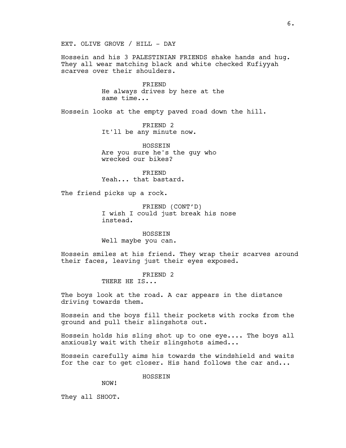EXT. OLIVE GROVE / HILL - DAY

Hossein and his 3 PALESTINIAN FRIENDS shake hands and hug. They all wear matching black and white checked Kufiyyah scarves over their shoulders.

> FRIEND He always drives by here at the same time...

Hossein looks at the empty paved road down the hill.

FRIEND 2 It'll be any minute now.

HOSSEIN Are you sure he's the guy who wrecked our bikes?

FRIEND Yeah... that bastard.

The friend picks up a rock.

FRIEND (CONT'D) I wish I could just break his nose instead.

HOSSEIN Well maybe you can.

Hossein smiles at his friend. They wrap their scarves around their faces, leaving just their eyes exposed.

> FRIEND 2 THERE HE IS...

The boys look at the road. A car appears in the distance driving towards them.

Hossein and the boys fill their pockets with rocks from the ground and pull their slingshots out.

Hossein holds his sling shot up to one eye.... The boys all anxiously wait with their slingshots aimed...

Hossein carefully aims his towards the windshield and waits for the car to get closer. His hand follows the car and...

HOSSEIN

NOW!

They all SHOOT.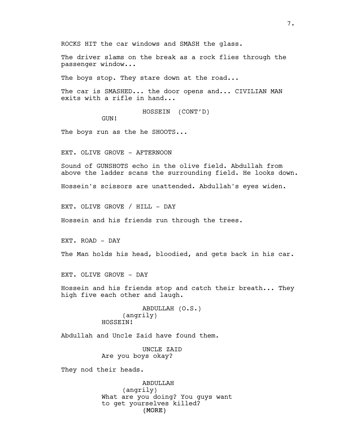ROCKS HIT the car windows and SMASH the glass.

The driver slams on the break as a rock flies through the passenger window...

The boys stop. They stare down at the road...

The car is SMASHED... the door opens and... CIVILIAN MAN exits with a rifle in hand...

HOSSEIN (CONT'D)

GUN!

The boys run as the he SHOOTS...

EXT. OLIVE GROVE - AFTERNOON

Sound of GUNSHOTS echo in the olive field. Abdullah from above the ladder scans the surrounding field. He looks down.

Hossein's scissors are unattended. Abdullah's eyes widen.

EXT. OLIVE GROVE / HILL - DAY

Hossein and his friends run through the trees.

EXT. ROAD - DAY

The Man holds his head, bloodied, and gets back in his car.

EXT. OLIVE GROVE - DAY

Hossein and his friends stop and catch their breath... They high five each other and laugh.

> ABDULLAH (O.S.) (angrily) HOSSEIN!

Abdullah and Uncle Zaid have found them.

UNCLE ZAID Are you boys okay?

They nod their heads.

(MORE) ABDULLAH (angrily) What are you doing? You guys want to get yourselves killed?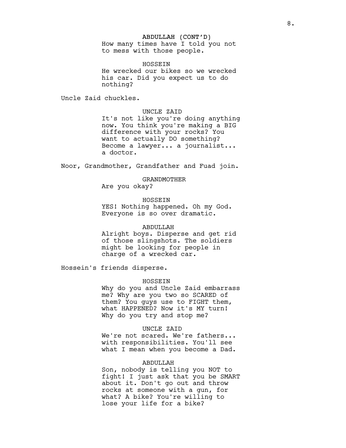### ABDULLAH (CONT'D)

How many times have I told you not to mess with those people.

HOSSEIN

He wrecked our bikes so we wrecked his car. Did you expect us to do nothing?

Uncle Zaid chuckles.

## UNCLE ZAID

It's not like you're doing anything now. You think you're making a BIG difference with your rocks? You want to actually DO something? Become a lawyer... a journalist... a doctor.

Noor, Grandmother, Grandfather and Fuad join.

### GRANDMOTHER

Are you okay?

HOSSEIN YES! Nothing happened. Oh my God. Everyone is so over dramatic.

## ABDULLAH

Alright boys. Disperse and get rid of those slingshots. The soldiers might be looking for people in charge of a wrecked car.

Hossein's friends disperse.

### HOSSEIN

Why do you and Uncle Zaid embarrass me? Why are you two so SCARED of them? You guys use to FIGHT them, what HAPPENED? Now it's MY turn! Why do you try and stop me?

## UNCLE ZAID

We're not scared. We're fathers... with responsibilities. You'll see what I mean when you become a Dad.

### ABDULLAH

Son, nobody is telling you NOT to fight! I just ask that you be SMART about it. Don't go out and throw rocks at someone with a gun, for what? A bike? You're willing to lose your life for a bike?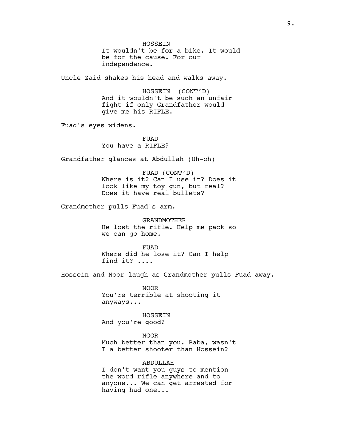HOSSEIN It wouldn't be for a bike. It would be for the cause. For our independence.

Uncle Zaid shakes his head and walks away.

HOSSEIN (CONT'D) And it wouldn't be such an unfair fight if only Grandfather would give me his RIFLE.

Fuad's eyes widens.

FUAD You have a RIFLE?

Grandfather glances at Abdullah (Uh-oh)

FUAD (CONT'D) Where is it? Can I use it? Does it look like my toy gun, but real? Does it have real bullets?

Grandmother pulls Fuad's arm.

GRANDMOTHER He lost the rifle. Help me pack so we can go home.

FUAD Where did he lose it? Can I help find it? ....

Hossein and Noor laugh as Grandmother pulls Fuad away.

NOOR You're terrible at shooting it anyways...

HOSSEIN And you're good?

NOOR Much better than you. Baba, wasn't I a better shooter than Hossein?

ABDULLAH

I don't want you guys to mention the word rifle anywhere and to anyone... We can get arrested for having had one...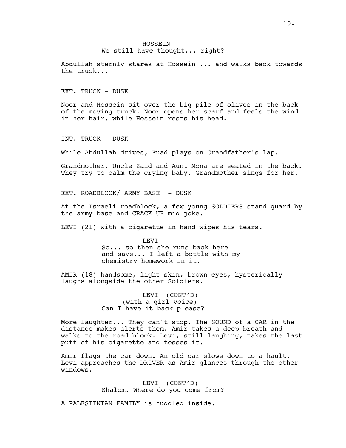### **HOSSEIN** We still have thought... right?

Abdullah sternly stares at Hossein ... and walks back towards the truck...

EXT. TRUCK - DUSK

Noor and Hossein sit over the big pile of olives in the back of the moving truck. Noor opens her scarf and feels the wind in her hair, while Hossein rests his head.

INT. TRUCK - DUSK

While Abdullah drives, Fuad plays on Grandfather's lap.

Grandmother, Uncle Zaid and Aunt Mona are seated in the back. They try to calm the crying baby, Grandmother sings for her.

EXT. ROADBLOCK/ ARMY BASE - DUSK

At the Israeli roadblock, a few young SOLDIERS stand guard by the army base and CRACK UP mid-joke.

LEVI (21) with a cigarette in hand wipes his tears.

LEVI So... so then she runs back here and says... I left a bottle with my chemistry homework in it.

AMIR (18) handsome, light skin, brown eyes, hysterically laughs alongside the other Soldiers.

> LEVI (CONT'D) (with a girl voice) Can I have it back please?

More laughter... They can't stop. The SOUND of a CAR in the distance makes alerts them. Amir takes a deep breath and walks to the road block. Levi, still laughing, takes the last puff of his cigarette and tosses it.

Amir flags the car down. An old car slows down to a hault. Levi approaches the DRIVER as Amir glances through the other windows.

> LEVI (CONT'D) Shalom. Where do you come from?

A PALESTINIAN FAMILY is huddled inside.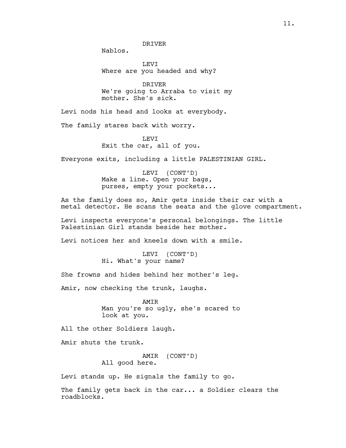Nablos.

LEVI Where are you headed and why?

DRIVER We're going to Arraba to visit my mother. She's sick.

Levi nods his head and looks at everybody.

The family stares back with worry.

LEVI Exit the car, all of you.

Everyone exits, including a little PALESTINIAN GIRL.

LEVI (CONT'D) Make a line. Open your bags, purses, empty your pockets...

As the family does so, Amir gets inside their car with a metal detector. He scans the seats and the glove compartment.

Levi inspects everyone's personal belongings. The little Palestinian Girl stands beside her mother.

Levi notices her and kneels down with a smile.

LEVI (CONT'D) Hi. What's your name?

She frowns and hides behind her mother's leg.

Amir, now checking the trunk, laughs.

AMIR Man you're so ugly, she's scared to look at you.

All the other Soldiers laugh.

Amir shuts the trunk.

AMIR (CONT'D) All good here.

Levi stands up. He signals the family to go.

The family gets back in the car... a Soldier clears the roadblocks.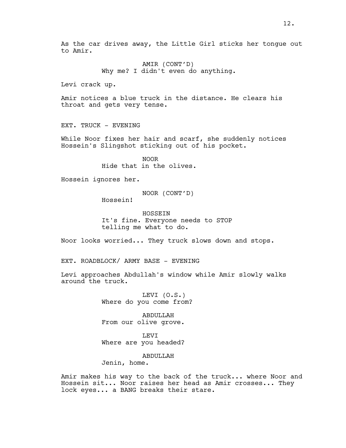As the car drives away, the Little Girl sticks her tongue out to Amir.

> AMIR (CONT'D) Why me? I didn't even do anything.

Levi crack up.

Amir notices a blue truck in the distance. He clears his throat and gets very tense.

EXT. TRUCK - EVENING

While Noor fixes her hair and scarf, she suddenly notices Hossein's Slingshot sticking out of his pocket.

> NOOR Hide that in the olives.

Hossein ignores her.

NOOR (CONT'D)

Hossein!

HOSSEIN It's fine. Everyone needs to STOP telling me what to do.

Noor looks worried... They truck slows down and stops.

EXT. ROADBLOCK/ ARMY BASE - EVENING

Levi approaches Abdullah's window while Amir slowly walks around the truck.

> LEVI (O.S.) Where do you come from?

ABDULLAH From our olive grove.

LEVI Where are you headed?

ABDULLAH

Jenin, home.

Amir makes his way to the back of the truck... where Noor and Hossein sit... Noor raises her head as Amir crosses... They lock eyes... a BANG breaks their stare.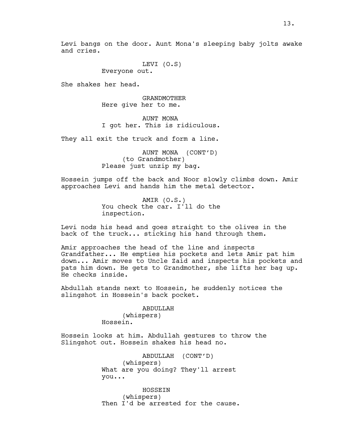Levi bangs on the door. Aunt Mona's sleeping baby jolts awake and cries.

> LEVI (O.S) Everyone out.

She shakes her head.

GRANDMOTHER Here give her to me.

AUNT MONA I got her. This is ridiculous.

They all exit the truck and form a line.

AUNT MONA (CONT'D) (to Grandmother) Please just unzip my bag.

Hossein jumps off the back and Noor slowly climbs down. Amir approaches Levi and hands him the metal detector.

> AMIR (O.S.) You check the car. I'll do the inspection.

Levi nods his head and goes straight to the olives in the back of the truck... sticking his hand through them.

Amir approaches the head of the line and inspects Grandfather... He empties his pockets and lets Amir pat him down... Amir moves to Uncle Zaid and inspects his pockets and pats him down. He gets to Grandmother, she lifts her bag up. He checks inside.

Abdullah stands next to Hossein, he suddenly notices the slingshot in Hossein's back pocket.

> ABDULLAH (whispers) Hossein.

Hossein looks at him. Abdullah gestures to throw the Slingshot out. Hossein shakes his head no.

> ABDULLAH (CONT'D) (whispers) What are you doing? They'll arrest you...

HOSSEIN (whispers) Then I'd be arrested for the cause.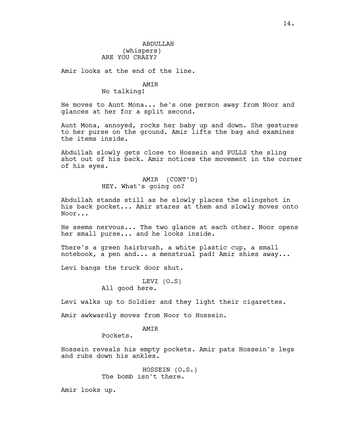## ABDULLAH (whispers) ARE YOU CRAZY?

Amir looks at the end of the line.

# AMIR

No talking!

He moves to Aunt Mona... he's one person away from Noor and glances at her for a split second.

Aunt Mona, annoyed, rocks her baby up and down. She gestures to her purse on the ground. Amir lifts the bag and examines the items inside.

Abdullah slowly gets close to Hossein and PULLS the sling shot out of his back. Amir notices the movement in the corner of his eyes.

> AMIR (CONT'D) HEY. What's going on?

Abdullah stands still as he slowly places the slingshot in his back pocket... Amir stares at them and slowly moves onto Noor...

He seems nervous... The two glance at each other. Noor opens her small purse... and he looks inside.

There's a green hairbrush, a white plastic cup, a small notebook, a pen and... a menstrual pad! Amir shies away...

Levi bangs the truck door shut.

LEVI (O.S) All good here.

Levi walks up to Soldier and they light their cigarettes.

Amir awkwardly moves from Noor to Hossein.

## AMIR

Pockets.

Hossein reveals his empty pockets. Amir pats Hossein's legs and rubs down his ankles.

> HOSSEIN (O.S.) The bomb isn't there.

Amir looks up.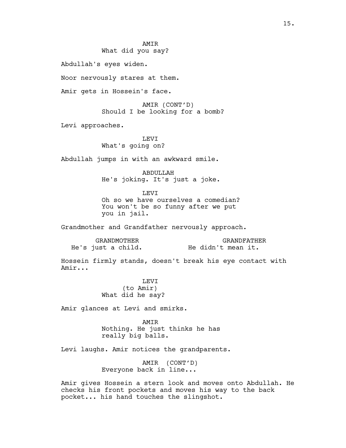## **AMTR** What did you say?

Abdullah's eyes widen.

Noor nervously stares at them.

Amir gets in Hossein's face.

AMIR (CONT'D) Should I be looking for a bomb?

Levi approaches.

LEVI What's going on?

Abdullah jumps in with an awkward smile.

ABDULLAH He's joking. It's just a joke.

**LEVT** 

Oh so we have ourselves a comedian? You won't be so funny after we put you in jail.

Grandmother and Grandfather nervously approach.

| GRANDMOTHER        | GRANDFATHER        |
|--------------------|--------------------|
| He's just a child. | He didn't mean it. |

Hossein firmly stands, doesn't break his eye contact with Amir...

> **LEVT** (to Amir) What did he say?

Amir glances at Levi and smirks.

AMIR Nothing. He just thinks he has really big balls.

Levi laughs. Amir notices the grandparents.

AMIR (CONT'D) Everyone back in line...

Amir gives Hossein a stern look and moves onto Abdullah. He checks his front pockets and moves his way to the back pocket... his hand touches the slingshot.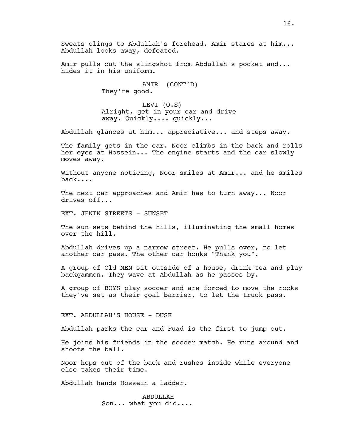Sweats clings to Abdullah's forehead. Amir stares at him... Abdullah looks away, defeated.

Amir pulls out the slingshot from Abdullah's pocket and... hides it in his uniform.

> AMIR (CONT'D) They're good.

LEVI (O.S) Alright, get in your car and drive away. Quickly.... quickly...

Abdullah glances at him... appreciative... and steps away.

The family gets in the car. Noor climbs in the back and rolls her eyes at Hossein... The engine starts and the car slowly moves away.

Without anyone noticing, Noor smiles at Amir... and he smiles back....

The next car approaches and Amir has to turn away... Noor drives off...

EXT. JENIN STREETS - SUNSET

The sun sets behind the hills, illuminating the small homes over the hill.

Abdullah drives up a narrow street. He pulls over, to let another car pass. The other car honks "Thank you".

A group of Old MEN sit outside of a house, drink tea and play backgammon. They wave at Abdullah as he passes by.

A group of BOYS play soccer and are forced to move the rocks they've set as their goal barrier, to let the truck pass.

EXT. ABDULLAH'S HOUSE - DUSK

Abdullah parks the car and Fuad is the first to jump out.

He joins his friends in the soccer match. He runs around and shoots the ball.

Noor hops out of the back and rushes inside while everyone else takes their time.

Abdullah hands Hossein a ladder.

ABDULLAH Son... what you did....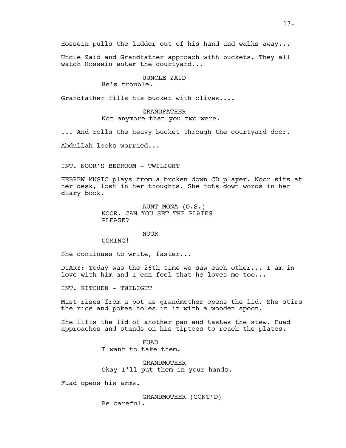Hossein pulls the ladder out of his hand and walks away...

Uncle Zaid and Grandfather approach with buckets. They all watch Hossein enter the courtyard...

## UUNCLE ZAID

## He's trouble.

Grandfather fills his bucket with olives....

## GRANDFATHER Not anymore than you two were.

... And rolls the heavy bucket through the courtyard door.

Abdullah looks worried...

INT. NOOR'S BEDROOM - TWILIGHT

HEBREW MUSIC plays from a broken down CD player. Noor sits at her desk, lost in her thoughts. She jots down words in her diary book.

> AUNT MONA (O.S.) NOOR. CAN YOU SET THE PLATES PLEASE?

## NOOR

COMING!

She continues to write, faster...

DIARY: Today was the 26th time we saw each other... I am in love with him and I can feel that he loves me too...

INT. KITCHEN - TWILIGHT

Mist rises from a pot as grandmother opens the lid. She stirs the rice and pokes holes in it with a wooden spoon.

She lifts the lid of another pan and tastes the stew. Fuad approaches and stands on his tiptoes to reach the plates.

> FUAD I want to take them.

GRANDMOTHER Okay I'll put them in your hands.

Fuad opens his arms.

GRANDMOTHER (CONT'D) Be careful.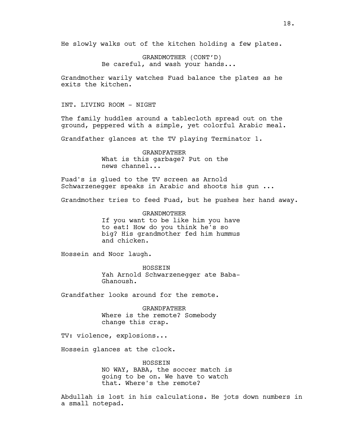He slowly walks out of the kitchen holding a few plates.

GRANDMOTHER (CONT'D) Be careful, and wash your hands...

Grandmother warily watches Fuad balance the plates as he exits the kitchen.

INT. LIVING ROOM - NIGHT

The family huddles around a tablecloth spread out on the ground, peppered with a simple, yet colorful Arabic meal.

Grandfather glances at the TV playing Terminator 1.

GRANDFATHER What is this garbage? Put on the news channel...

Fuad's is glued to the TV screen as Arnold Schwarzenegger speaks in Arabic and shoots his gun ...

Grandmother tries to feed Fuad, but he pushes her hand away.

GRANDMOTHER If you want to be like him you have to eat! How do you think he's so big? His grandmother fed him hummus and chicken.

Hossein and Noor laugh.

HOSSEIN Yah Arnold Schwarzenegger ate Baba-Ghanoush.

Grandfather looks around for the remote.

GRANDFATHER Where is the remote? Somebody change this crap.

TV: violence, explosions...

Hossein glances at the clock.

HOSSEIN NO WAY, BABA, the soccer match is going to be on. We have to watch that. Where's the remote?

Abdullah is lost in his calculations. He jots down numbers in a small notepad.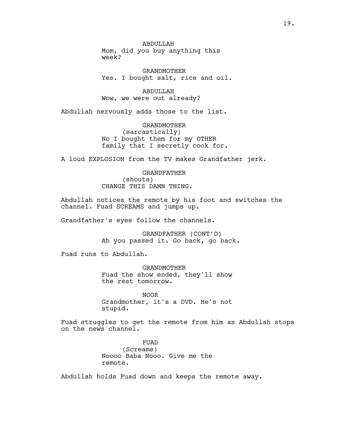ABDULLAH Mom, did you buy anything this week?

GRANDMOTHER Yes. I bought salt, rice and oil.

ABDULLAH Wow, we were out already?

Abdullah nervously adds those to the list.

GRANDMOTHER (sarcastically) No I bought them for my OTHER family that I secretly cook for.

A loud EXPLOSION from the TV makes Grandfather jerk.

GRANDFATHER (shouts) CHANGE THIS DAMN THING.

Abdullah notices the remote by his foot and switches the channel. Fuad SCREAMS and jumps up.

Grandfather's eyes follow the channels.

GRANDFATHER (CONT'D) Ah you passed it. Go back, go back.

Fuad runs to Abdullah.

GRANDMOTHER Fuad the show ended, they'll show the rest tomorrow.

NOOR Grandmother, it's a DVD. He's not stupid.

Fuad struggles to get the remote from him as Abdullah stops on the news channel.

> FUAD (Screams) Noooo Baba Nooo. Give me the remote.

Abdullah holds Fuad down and keeps the remote away.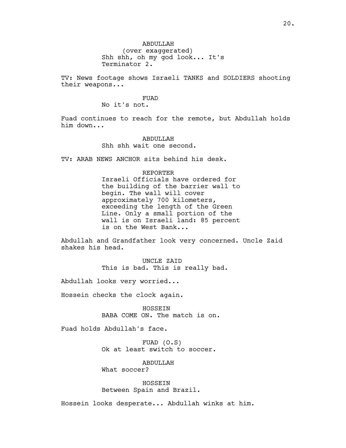20.

ABDULLAH (over exaggerated) Shh shh, oh my god look... It's Terminator 2.

TV: News footage shows Israeli TANKS and SOLDIERS shooting their weapons...

## FUAD

No it's not.

Fuad continues to reach for the remote, but Abdullah holds him down...

> ABDULLAH Shh shh wait one second.

TV: ARAB NEWS ANCHOR sits behind his desk.

## REPORTER

Israeli Officials have ordered for the building of the barrier wall to begin. The wall will cover approximately 700 kilometers, exceeding the length of the Green Line. Only a small portion of the wall is on Israeli land: 85 percent is on the West Bank...

Abdullah and Grandfather look very concerned. Uncle Zaid shakes his head.

> UNCLE ZAID This is bad. This is really bad.

Abdullah looks very worried...

Hossein checks the clock again.

HOSSEIN BABA COME ON. The match is on.

Fuad holds Abdullah's face.

FUAD (O.S) Ok at least switch to soccer.

ABDULLAH What soccer?

HOSSEIN Between Spain and Brazil.

Hossein looks desperate... Abdullah winks at him.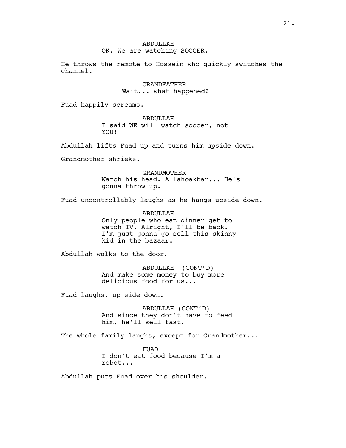### OK. We are watching SOCCER.

He throws the remote to Hossein who quickly switches the channel.

## GRANDFATHER Wait... what happened?

Fuad happily screams.

ABDULLAH I said WE will watch soccer, not YOU!

Abdullah lifts Fuad up and turns him upside down.

Grandmother shrieks.

GRANDMOTHER Watch his head. Allahoakbar... He's gonna throw up.

Fuad uncontrollably laughs as he hangs upside down.

ABDULLAH Only people who eat dinner get to watch TV. Alright, I'll be back. I'm just gonna go sell this skinny kid in the bazaar.

Abdullah walks to the door.

ABDULLAH (CONT'D) And make some money to buy more delicious food for us...

Fuad laughs, up side down.

ABDULLAH (CONT'D) And since they don't have to feed him, he'll sell fast.

The whole family laughs, except for Grandmother...

FUAD I don't eat food because I'm a robot...

Abdullah puts Fuad over his shoulder.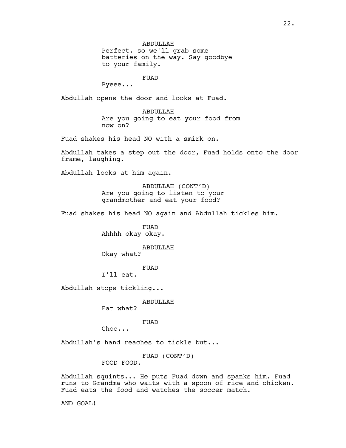Perfect. so we'll grab some batteries on the way. Say goodbye to your family.

## FUAD

Byeee...

Abdullah opens the door and looks at Fuad.

ABDULLAH Are you going to eat your food from now on?

Fuad shakes his head NO with a smirk on.

Abdullah takes a step out the door, Fuad holds onto the door frame, laughing.

Abdullah looks at him again.

ABDULLAH (CONT'D) Are you going to listen to your grandmother and eat your food?

Fuad shakes his head NO again and Abdullah tickles him.

FUAD Ahhhh okay okay.

ABDULLAH Okay what?

FUAD

I'll eat.

Abdullah stops tickling...

ABDULLAH

Eat what?

FUAD

Choc...

Abdullah's hand reaches to tickle but...

FUAD (CONT'D)

FOOD FOOD.

Abdullah squints... He puts Fuad down and spanks him. Fuad runs to Grandma who waits with a spoon of rice and chicken. Fuad eats the food and watches the soccer match.

AND GOAL!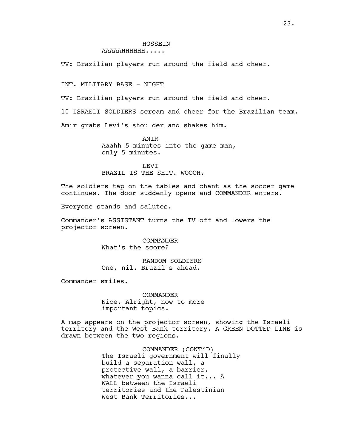### **HOSSEIN** AAAAAHHHHHH.....

TV: Brazilian players run around the field and cheer.

INT. MILITARY BASE - NIGHT

TV: Brazilian players run around the field and cheer.

10 ISRAELI SOLDIERS scream and cheer for the Brazilian team.

Amir grabs Levi's shoulder and shakes him.

AMIR Aaahh 5 minutes into the game man, only 5 minutes.

LEVI BRAZIL IS THE SHIT. WOOOH.

The soldiers tap on the tables and chant as the soccer game continues. The door suddenly opens and COMMANDER enters.

Everyone stands and salutes.

Commander's ASSISTANT turns the TV off and lowers the projector screen.

> COMMANDER What's the score?

RANDOM SOLDIERS One, nil. Brazil's ahead.

Commander smiles.

COMMANDER Nice. Alright, now to more important topics.

A map appears on the projector screen, showing the Israeli territory and the West Bank territory. A GREEN DOTTED LINE is drawn between the two regions.

> COMMANDER (CONT'D) The Israeli government will finally build a separation wall, a protective wall, a barrier, whatever you wanna call it... A WALL between the Israeli territories and the Palestinian West Bank Territories...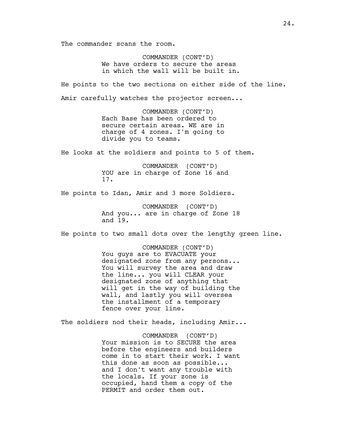The commander scans the room.

COMMANDER (CONT'D) We have orders to secure the areas in which the wall will be built in.

He points to the two sections on either side of the line. Amir carefully watches the projector screen...

> COMMANDER (CONT'D) Each Base has been ordered to secure certain areas. WE are in charge of 4 zones. I'm going to divide you to teams.

He looks at the soldiers and points to 5 of them.

COMMANDER (CONT'D) YOU are in charge of Zone 16 and 17.

He points to Idan, Amir and 3 more Soldiers.

COMMANDER (CONT'D) And you... are in charge of Zone 18 and 19.

He points to two small dots over the lengthy green line.

COMMANDER (CONT'D) You guys are to EVACUATE your designated zone from any persons... You will survey the area and draw the line... you will CLEAR your designated zone of anything that will get in the way of building the wall, and lastly you will oversea the installment of a temporary fence over your line.

The soldiers nod their heads, including Amir...

COMMANDER (CONT'D) Your mission is to SECURE the area before the engineers and builders come in to start their work. I want this done as soon as possible... and I don't want any trouble with the locals. If your zone is occupied, hand them a copy of the PERMIT and order them out.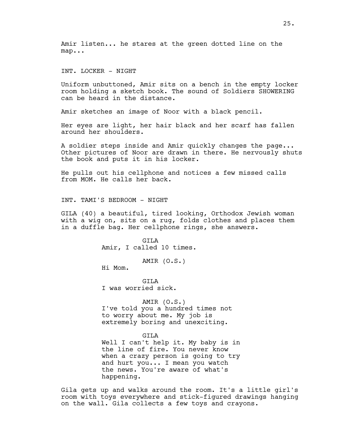Amir listen... he stares at the green dotted line on the map...

INT. LOCKER - NIGHT

Uniform unbuttoned, Amir sits on a bench in the empty locker room holding a sketch book. The sound of Soldiers SHOWERING can be heard in the distance.

Amir sketches an image of Noor with a black pencil.

Her eyes are light, her hair black and her scarf has fallen around her shoulders.

A soldier steps inside and Amir quickly changes the page... Other pictures of Noor are drawn in there. He nervously shuts the book and puts it in his locker.

He pulls out his cellphone and notices a few missed calls from MOM. He calls her back.

INT. TAMI'S BEDROOM - NIGHT

GILA (40) a beautiful, tired looking, Orthodox Jewish woman with a wig on, sits on a rug, folds clothes and places them in a duffle bag. Her cellphone rings, she answers.

> GILA Amir, I called 10 times.

> > AMIR (O.S.)

Hi Mom.

GTT<sub>A</sub> I was worried sick.

AMIR (O.S.) I've told you a hundred times not to worry about me. My job is extremely boring and unexciting.

### GILA

Well I can't help it. My baby is in the line of fire. You never know when a crazy person is going to try and hurt you... I mean you watch the news. You're aware of what's happening.

Gila gets up and walks around the room. It's a little girl's room with toys everywhere and stick-figured drawings hanging on the wall. Gila collects a few toys and crayons.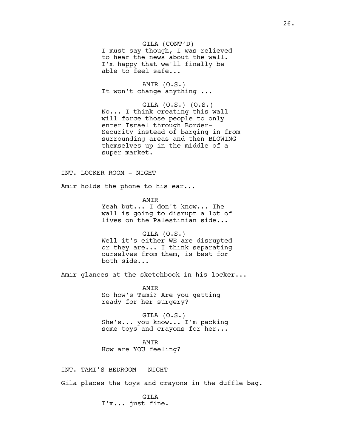GILA (CONT'D) I must say though, I was relieved to hear the news about the wall. I'm happy that we'll finally be able to feel safe...

AMIR (O.S.) It won't change anything ...

GILA (O.S.) (O.S.) No... I think creating this wall will force those people to only enter Israel through Border-Security instead of barging in from surrounding areas and then BLOWING themselves up in the middle of a super market.

### INT. LOCKER ROOM - NIGHT

Amir holds the phone to his ear...

AMIR Yeah but... I don't know... The wall is going to disrupt a lot of lives on the Palestinian side...

GILA (O.S.) Well it's either WE are disrupted or they are... I think separating ourselves from them, is best for both side...

Amir glances at the sketchbook in his locker...

AMIR So how's Tami? Are you getting ready for her surgery?

GILA (O.S.) She's... you know... I'm packing some toys and crayons for her...

AMIR How are YOU feeling?

INT. TAMI'S BEDROOM - NIGHT

Gila places the toys and crayons in the duffle bag.

GILA I'm... just fine.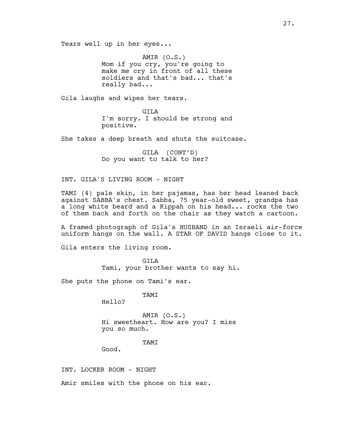Tears well up in her eyes...

AMIR (O.S.) Mom if you cry, you're going to make me cry in front of all these soldiers and that's bad... that's really bad...

Gila laughs and wipes her tears.

GILA I'm sorry. I should be strong and positive.

She takes a deep breath and shuts the suitcase.

GILA (CONT'D) Do you want to talk to her?

### INT. GILA'S LIVING ROOM - NIGHT

TAMI (4) pale skin, in her pajamas, has her head leaned back against SABBA's chest. Sabba, 75 year-old sweet, grandpa has a long white beard and a Kippah on his head... rocks the two of them back and forth on the chair as they watch a cartoon.

A framed photograph of Gila's HUSBAND in an Israeli air-force uniform hangs on the wall. A STAR OF DAVID hangs close to it.

Gila enters the living room.

GILA Tami, your brother wants to say hi.

She puts the phone on Tami's ear.

TAMI

Hello?

AMIR (O.S.) Hi sweetheart. How are you? I miss you so much.

### TAMI

Good.

INT. LOCKER ROOM - NIGHT

Amir smiles with the phone on his ear.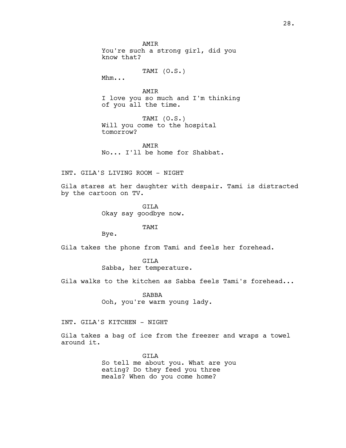**AMTR** You're such a strong girl, did you know that?

TAMI (O.S.)

Mhm...

AMIR I love you so much and I'm thinking of you all the time.

TAMI (O.S.) Will you come to the hospital tomorrow?

**AMTR** No... I'll be home for Shabbat.

INT. GILA'S LIVING ROOM - NIGHT

Gila stares at her daughter with despair. Tami is distracted by the cartoon on TV.

> GTT<sub>A</sub> Okay say goodbye now.

### TAMI

Bye.

Gila takes the phone from Tami and feels her forehead.

GILA Sabba, her temperature.

Gila walks to the kitchen as Sabba feels Tami's forehead...

SABBA Ooh, you're warm young lady.

INT. GILA'S KITCHEN - NIGHT

Gila takes a bag of ice from the freezer and wraps a towel around it.

> GILA So tell me about you. What are you eating? Do they feed you three meals? When do you come home?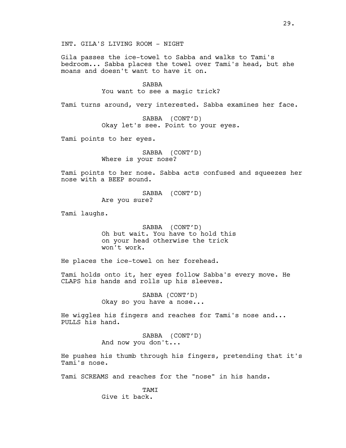Gila passes the ice-towel to Sabba and walks to Tami's bedroom... Sabba places the towel over Tami's head, but she moans and doesn't want to have it on.

> SABBA You want to see a magic trick?

Tami turns around, very interested. Sabba examines her face.

SABBA (CONT'D) Okay let's see. Point to your eyes.

Tami points to her eyes.

SABBA (CONT'D) Where is your nose?

Tami points to her nose. Sabba acts confused and squeezes her nose with a BEEP sound.

> SABBA (CONT'D) Are you sure?

Tami laughs.

SABBA (CONT'D) Oh but wait. You have to hold this on your head otherwise the trick won't work.

He places the ice-towel on her forehead.

Tami holds onto it, her eyes follow Sabba's every move. He CLAPS his hands and rolls up his sleeves.

> SABBA (CONT'D) Okay so you have a nose...

He wiggles his fingers and reaches for Tami's nose and... PULLS his hand.

> SABBA (CONT'D) And now you don't...

He pushes his thumb through his fingers, pretending that it's Tami's nose.

Tami SCREAMS and reaches for the "nose" in his hands.

**TAMT** Give it back.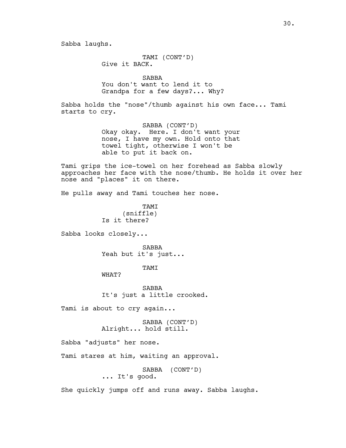TAMI (CONT'D) Give it BACK.

SABBA You don't want to lend it to Grandpa for a few days?... Why?

Sabba holds the "nose"/thumb against his own face... Tami starts to cry.

> SABBA (CONT'D) Okay okay. Here. I don't want your nose, I have my own. Hold onto that towel tight, otherwise I won't be able to put it back on.

Tami grips the ice-towel on her forehead as Sabba slowly approaches her face with the nose/thumb. He holds it over her nose and "places" it on there.

He pulls away and Tami touches her nose.

**TAMT** (sniffle) Is it there?

Sabba looks closely...

SABBA Yeah but it's just...

TAMI

WHAT?

SABBA It's just a little crooked.

Tami is about to cry again...

SABBA (CONT'D) Alright... hold still.

Sabba "adjusts" her nose.

Tami stares at him, waiting an approval.

SABBA (CONT'D) ... It's good.

She quickly jumps off and runs away. Sabba laughs.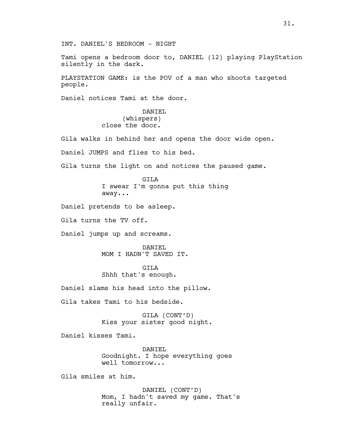Tami opens a bedroom door to, DANIEL (12) playing PlayStation silently in the dark.

PLAYSTATION GAME: is the POV of a man who shoots targeted people.

Daniel notices Tami at the door.

DANIEL (whispers) close the door.

Gila walks in behind her and opens the door wide open.

Daniel JUMPS and flies to his bed.

Gila turns the light on and notices the paused game.

GTT<sub>A</sub> I swear I'm gonna put this thing away...

Daniel pretends to be asleep.

Gila turns the TV off.

Daniel jumps up and screams.

DANIEL MOM I HADN'T SAVED IT.

GTT<sub>A</sub> Shhh that's enough.

Daniel slams his head into the pillow.

Gila takes Tami to his bedside.

GILA (CONT'D) Kiss your sister good night.

Daniel kisses Tami.

DANIEL Goodnight. I hope everything goes well tomorrow...

Gila smiles at him.

DANIEL (CONT'D) Mom, I hadn't saved my game. That's really unfair.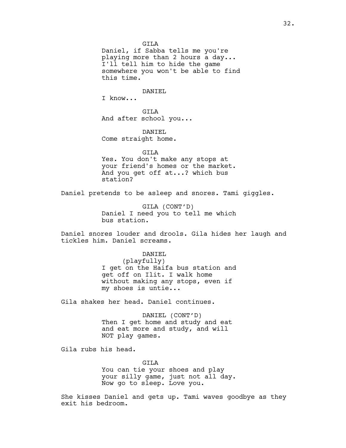GILA

Daniel, if Sabba tells me you're playing more than 2 hours a day... I'll tell him to hide the game somewhere you won't be able to find this time.

DANIEL

I know...

GILA And after school you...

DANTEL Come straight home.

GILA

Yes. You don't make any stops at your friend's homes or the market. And you get off at...? which bus station?

Daniel pretends to be asleep and snores. Tami giggles.

GILA (CONT'D) Daniel I need you to tell me which bus station.

Daniel snores louder and drools. Gila hides her laugh and tickles him. Daniel screams.

### DANTEL

(playfully) I get on the Haifa bus station and get off on Ilit. I walk home without making any stops, even if my shoes is untie...

Gila shakes her head. Daniel continues.

DANIEL (CONT'D) Then I get home and study and eat and eat more and study, and will NOT play games.

Gila rubs his head.

GILA You can tie your shoes and play your silly game, just not all day. Now go to sleep. Love you.

She kisses Daniel and gets up. Tami waves goodbye as they exit his bedroom.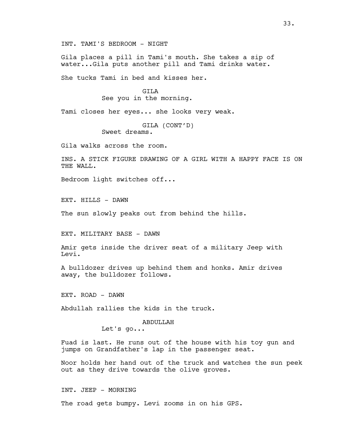INT. TAMI'S BEDROOM - NIGHT

Gila places a pill in Tami's mouth. She takes a sip of water...Gila puts another pill and Tami drinks water.

She tucks Tami in bed and kisses her.

GILA See you in the morning.

Tami closes her eyes... she looks very weak.

GILA (CONT'D) Sweet dreams.

Gila walks across the room.

INS. A STICK FIGURE DRAWING OF A GIRL WITH A HAPPY FACE IS ON THE WALL.

Bedroom light switches off...

EXT. HILLS - DAWN

The sun slowly peaks out from behind the hills.

EXT. MILITARY BASE - DAWN

Amir gets inside the driver seat of a military Jeep with Levi.

A bulldozer drives up behind them and honks. Amir drives away, the bulldozer follows.

EXT. ROAD - DAWN

Abdullah rallies the kids in the truck.

### ABDULLAH

Let's go...

Fuad is last. He runs out of the house with his toy gun and jumps on Grandfather's lap in the passenger seat.

Noor holds her hand out of the truck and watches the sun peek out as they drive towards the olive groves.

INT. JEEP - MORNING

The road gets bumpy. Levi zooms in on his GPS.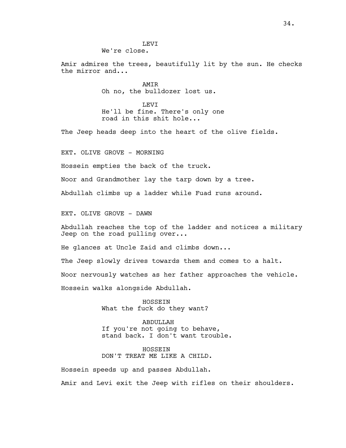Amir admires the trees, beautifully lit by the sun. He checks the mirror and...

> AMIR Oh no, the bulldozer lost us.

LEVI He'll be fine. There's only one road in this shit hole...

The Jeep heads deep into the heart of the olive fields.

EXT. OLIVE GROVE - MORNING

Hossein empties the back of the truck.

Noor and Grandmother lay the tarp down by a tree.

Abdullah climbs up a ladder while Fuad runs around.

EXT. OLIVE GROVE - DAWN

Abdullah reaches the top of the ladder and notices a military Jeep on the road pulling over...

He glances at Uncle Zaid and climbs down...

The Jeep slowly drives towards them and comes to a halt. Noor nervously watches as her father approaches the vehicle. Hossein walks alongside Abdullah.

> HOSSEIN What the fuck do they want?

ABDULLAH If you're not going to behave, stand back. I don't want trouble.

HOSSEIN DON'T TREAT ME LIKE A CHILD.

Hossein speeds up and passes Abdullah. Amir and Levi exit the Jeep with rifles on their shoulders.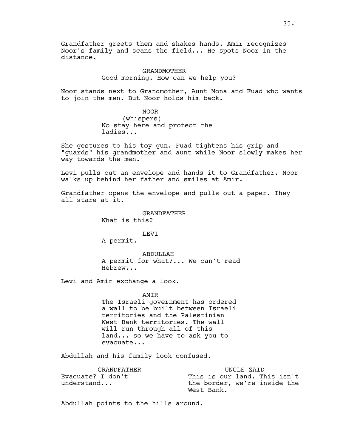Grandfather greets them and shakes hands. Amir recognizes Noor's family and scans the field... He spots Noor in the distance.

> GRANDMOTHER Good morning. How can we help you?

Noor stands next to Grandmother, Aunt Mona and Fuad who wants to join the men. But Noor holds him back.

NOOR

(whispers) No stay here and protect the ladies...

She gestures to his toy gun. Fuad tightens his grip and "guards" his grandmother and aunt while Noor slowly makes her way towards the men.

Levi pulls out an envelope and hands it to Grandfather. Noor walks up behind her father and smiles at Amir.

Grandfather opens the envelope and pulls out a paper. They all stare at it.

> GRANDFATHER What is this?

## LEVI

A permit.

ABDULLAH A permit for what?... We can't read Hebrew...

Levi and Amir exchange a look.

AMIR

The Israeli government has ordered a wall to be built between Israeli territories and the Palestinian West Bank territories. The wall will run through all of this land... so we have to ask you to evacuate...

Abdullah and his family look confused.

| GRANDFATHER       | UNCLE ZAID                   |
|-------------------|------------------------------|
| Evacuate? I don't | This is our land. This isn't |
| understand        | the border, we're inside the |
|                   | West Bank.                   |

Abdullah points to the hills around.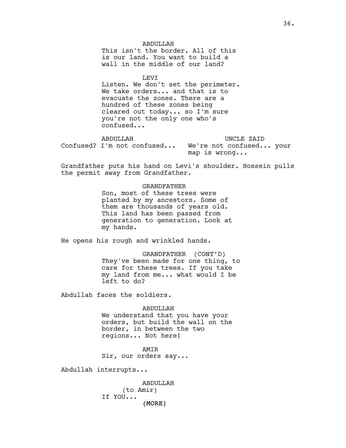ABDULLAH This isn't the border. All of this is our land. You want to build a wall in the middle of our land?

LEVI

Listen. We don't set the perimeter. We take orders... and that is to evacuate the zones. There are a hundred of these zones being cleared out today... so I'm sure you're not the only one who's confused...

ABDULLAH Confused? I'm not confused... We're not confused... your UNCLE ZAID map is wrong...

Grandfather puts his hand on Levi's shoulder. Hossein pulls the permit away from Grandfather.

#### GRANDFATHER

Son, most of these trees were planted by my ancestors. Some of them are thousands of years old. This land has been passed from generation to generation. Look at my hands.

He opens his rough and wrinkled hands.

GRANDFATHER (CONT'D) They've been made for one thing, to care for these trees. If you take my land from me... what would I be left to do?

Abdullah faces the soldiers.

#### ABDULLAH

We understand that you have your orders, but build the wall on the border, in between the two regions... Not here!

AMIR Sir, our orders say...

Abdullah interrupts...

(MORE) ABDULLAH (to Amir) If YOU...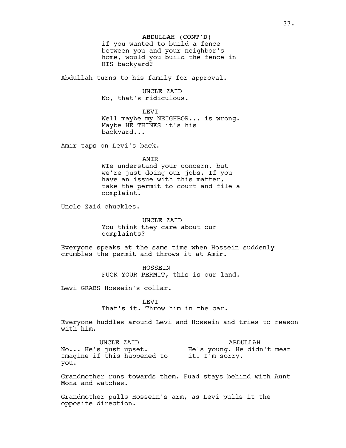## ABDULLAH (CONT'D)

if you wanted to build a fence between you and your neighbor's home, would you build the fence in HIS backyard?

Abdullah turns to his family for approval.

UNCLE ZAID

No, that's ridiculous.

#### LEVI

Well maybe my NEIGHBOR... is wrong. Maybe HE THINKS it's his backyard...

Amir taps on Levi's back.

AMIR

WIe understand your concern, but we're just doing our jobs. If you have an issue with this matter, take the permit to court and file a complaint.

Uncle Zaid chuckles.

UNCLE ZAID You think they care about our complaints?

Everyone speaks at the same time when Hossein suddenly crumbles the permit and throws it at Amir.

> HOSSEIN FUCK YOUR PERMIT, this is our land.

Levi GRABS Hossein's collar.

LEVI That's it. Throw him in the car.

Everyone huddles around Levi and Hossein and tries to reason with him.

UNCLE ZAID No... He's just upset. Imagine if this happened to it. I'm sorry. you. ABDULLAH He's young. He didn't mean

Grandmother runs towards them. Fuad stays behind with Aunt Mona and watches.

Grandmother pulls Hossein's arm, as Levi pulls it the opposite direction.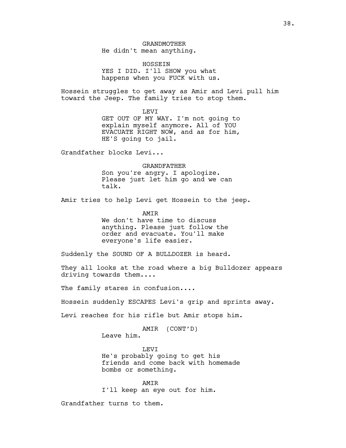# GRANDMOTHER He didn't mean anything.

HOSSEIN YES I DID. I'll SHOW you what happens when you FUCK with us.

Hossein struggles to get away as Amir and Levi pull him toward the Jeep. The family tries to stop them.

LEVI

GET OUT OF MY WAY. I'm not going to explain myself anymore. All of YOU EVACUATE RIGHT NOW, and as for him, HE'S going to jail.

Grandfather blocks Levi...

GRANDFATHER

Son you're angry. I apologize. Please just let him go and we can talk.

Amir tries to help Levi get Hossein to the jeep.

AMIR We don't have time to discuss anything. Please just follow the order and evacuate. You'll make everyone's life easier.

Suddenly the SOUND OF A BULLDOZER is heard.

They all looks at the road where a big Bulldozer appears driving towards them....

The family stares in confusion....

Hossein suddenly ESCAPES Levi's grip and sprints away.

Levi reaches for his rifle but Amir stops him.

AMIR (CONT'D) Leave him.

LEVI He's probably going to get his friends and come back with homemade bombs or something.

AMIR I'll keep an eye out for him.

Grandfather turns to them.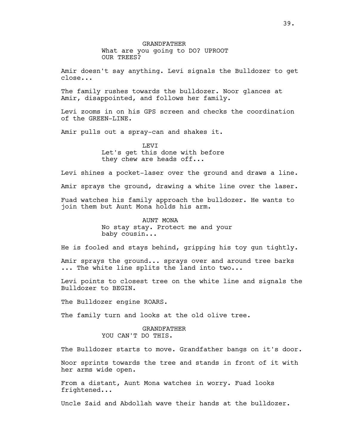Amir doesn't say anything. Levi signals the Bulldozer to get close...

The family rushes towards the bulldozer. Noor glances at Amir, disappointed, and follows her family.

Levi zooms in on his GPS screen and checks the coordination of the GREEN-LINE.

Amir pulls out a spray-can and shakes it.

**LEVT** Let's get this done with before they chew are heads off...

Levi shines a pocket-laser over the ground and draws a line.

Amir sprays the ground, drawing a white line over the laser.

Fuad watches his family approach the bulldozer. He wants to join them but Aunt Mona holds his arm.

> AUNT MONA No stay stay. Protect me and your baby cousin...

He is fooled and stays behind, gripping his toy gun tightly.

Amir sprays the ground... sprays over and around tree barks ... The white line splits the land into two...

Levi points to closest tree on the white line and signals the Bulldozer to BEGIN.

The Bulldozer engine ROARS.

The family turn and looks at the old olive tree.

### GRANDFATHER YOU CAN'T DO THIS.

The Bulldozer starts to move. Grandfather bangs on it's door.

Noor sprints towards the tree and stands in front of it with her arms wide open.

From a distant, Aunt Mona watches in worry. Fuad looks frightened...

Uncle Zaid and Abdollah wave their hands at the bulldozer.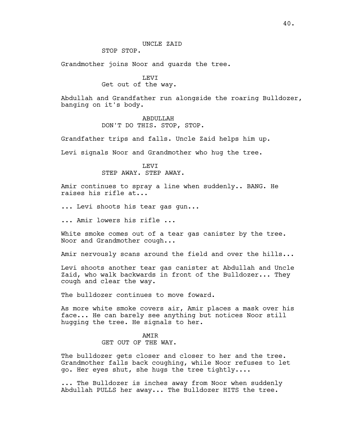# UNCLE ZAID

STOP STOP.

Grandmother joins Noor and guards the tree.

# LEVI

# Get out of the way.

Abdullah and Grandfather run alongside the roaring Bulldozer, banging on it's body.

## ABDULLAH DON'T DO THIS. STOP, STOP.

Grandfather trips and falls. Uncle Zaid helps him up.

Levi signals Noor and Grandmother who hug the tree.

## LEVI STEP AWAY. STEP AWAY.

Amir continues to spray a line when suddenly.. BANG. He raises his rifle at...

... Levi shoots his tear gas gun...

... Amir lowers his rifle ...

White smoke comes out of a tear gas canister by the tree. Noor and Grandmother cough...

Amir nervously scans around the field and over the hills...

Levi shoots another tear gas canister at Abdullah and Uncle Zaid, who walk backwards in front of the Bulldozer... They cough and clear the way.

The bulldozer continues to move foward.

As more white smoke covers air, Amir places a mask over his face... He can barely see anything but notices Noor still hugging the tree. He signals to her.

## AMIR GET OUT OF THE WAY.

The bulldozer gets closer and closer to her and the tree. Grandmother falls back coughing, while Noor refuses to let go. Her eyes shut, she hugs the tree tightly....

... The Bulldozer is inches away from Noor when suddenly Abdullah PULLS her away... The Bulldozer HITS the tree.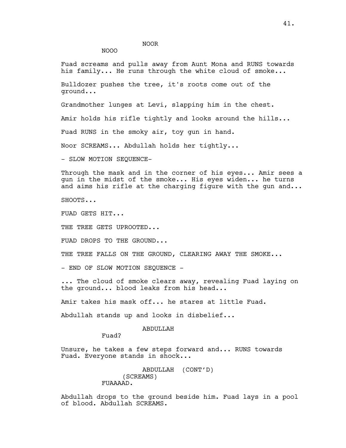NOOR

NOOO

Fuad screams and pulls away from Aunt Mona and RUNS towards his family... He runs through the white cloud of smoke...

Bulldozer pushes the tree, it's roots come out of the ground...

Grandmother lunges at Levi, slapping him in the chest.

Amir holds his rifle tightly and looks around the hills...

Fuad RUNS in the smoky air, toy gun in hand.

Noor SCREAMS... Abdullah holds her tightly...

- SLOW MOTION SEQUENCE-

Through the mask and in the corner of his eyes... Amir sees a gun in the midst of the smoke... His eyes widen... he turns and aims his rifle at the charging figure with the gun and...

SHOOTS...

FUAD GETS HIT...

THE TREE GETS UPROOTED...

FUAD DROPS TO THE GROUND...

THE TREE FALLS ON THE GROUND, CLEARING AWAY THE SMOKE...

- END OF SLOW MOTION SEQUENCE -

... The cloud of smoke clears away, revealing Fuad laying on the ground... blood leaks from his head...

Amir takes his mask off... he stares at little Fuad.

Abdullah stands up and looks in disbelief...

#### **ABDULLAH**

Fuad?

Unsure, he takes a few steps forward and... RUNS towards Fuad. Everyone stands in shock...

> ABDULLAH (CONT'D) (SCREAMS) FUAAAAD.

Abdullah drops to the ground beside him. Fuad lays in a pool of blood. Abdullah SCREAMS.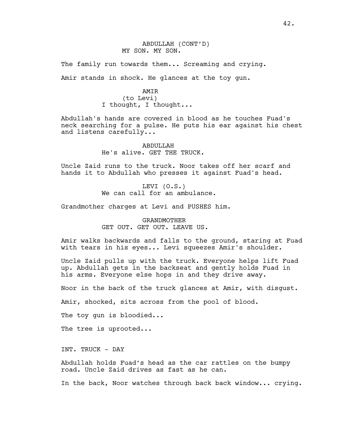## ABDULLAH (CONT'D) MY SON. MY SON.

The family run towards them... Screaming and crying.

Amir stands in shock. He glances at the toy gun.

#### AMIR

(to Levi) I thought, I thought...

Abdullah's hands are covered in blood as he touches Fuad's neck searching for a pulse. He puts his ear against his chest and listens carefully...

> ABDULLAH He's alive. GET THE TRUCK.

Uncle Zaid runs to the truck. Noor takes off her scarf and hands it to Abdullah who presses it against Fuad's head.

> LEVI (O.S.) We can call for an ambulance.

Grandmother charges at Levi and PUSHES him.

# GRANDMOTHER GET OUT. GET OUT. LEAVE US.

Amir walks backwards and falls to the ground, staring at Fuad with tears in his eyes... Levi squeezes Amir's shoulder.

Uncle Zaid pulls up with the truck. Everyone helps lift Fuad up. Abdullah gets in the backseat and gently holds Fuad in his arms. Everyone else hops in and they drive away.

Noor in the back of the truck glances at Amir, with disgust.

Amir, shocked, sits across from the pool of blood.

The toy gun is bloodied...

The tree is uprooted...

INT. TRUCK - DAY

Abdullah holds Fuad's head as the car rattles on the bumpy road. Uncle Zaid drives as fast as he can.

In the back, Noor watches through back back window... crying.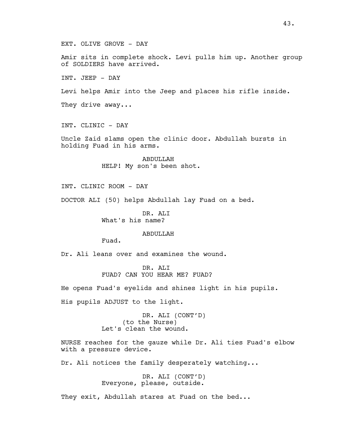EXT. OLIVE GROVE - DAY

Amir sits in complete shock. Levi pulls him up. Another group of SOLDIERS have arrived.

INT. JEEP - DAY

Levi helps Amir into the Jeep and places his rifle inside.

They drive away...

INT. CLINIC - DAY

Uncle Zaid slams open the clinic door. Abdullah bursts in holding Fuad in his arms.

> ABDULLAH HELP! My son's been shot.

INT. CLINIC ROOM - DAY

DOCTOR ALI (50) helps Abdullah lay Fuad on a bed.

DR. ALI What's his name?

ABDULLAH

Fuad.

Dr. Ali leans over and examines the wound.

DR. ALI FUAD? CAN YOU HEAR ME? FUAD?

He opens Fuad's eyelids and shines light in his pupils.

His pupils ADJUST to the light.

DR. ALI (CONT'D) (to the Nurse) Let's clean the wound.

NURSE reaches for the gauze while Dr. Ali ties Fuad's elbow with a pressure device.

Dr. Ali notices the family desperately watching...

DR. ALI (CONT'D) Everyone, please, outside.

They exit, Abdullah stares at Fuad on the bed...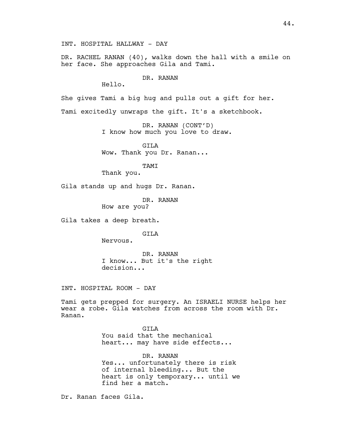INT. HOSPITAL HALLWAY - DAY

DR. RACHEL RANAN (40), walks down the hall with a smile on her face. She approaches Gila and Tami.

DR. RANAN

Hello.

She gives Tami a big hug and pulls out a gift for her.

Tami excitedly unwraps the gift. It's a sketchbook.

DR. RANAN (CONT'D) I know how much you love to draw.

GILA Wow. Thank you Dr. Ranan...

TAMI

Thank you.

Gila stands up and hugs Dr. Ranan.

DR. RANAN

How are you?

Gila takes a deep breath.

GILA

Nervous.

DR. RANAN I know... But it's the right decision...

INT. HOSPITAL ROOM - DAY

Tami gets prepped for surgery. An ISRAELI NURSE helps her wear a robe. Gila watches from across the room with Dr. Ranan.

> GTT<sub>A</sub> You said that the mechanical heart... may have side effects...

DR. RANAN Yes... unfortunately there is risk of internal bleeding... But the heart is only temporary... until we find her a match.

Dr. Ranan faces Gila.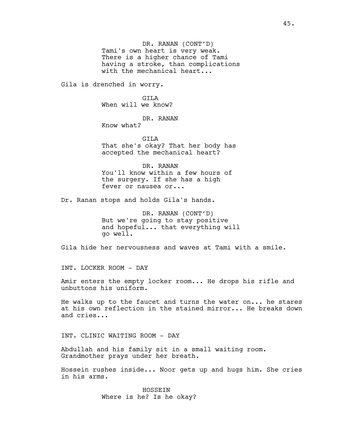DR. RANAN (CONT'D) Tami's own heart is very weak. There is a higher chance of Tami having a stroke, than complications with the mechanical heart...

Gila is drenched in worry.

GTT<sub>A</sub> When will we know?

DR. RANAN Know what?

GILA

That she's okay? That her body has accepted the mechanical heart?

DR. RANAN You'll know within a few hours of the surgery. If she has a high fever or nausea or...

Dr. Ranan stops and holds Gila's hands.

DR. RANAN (CONT'D) But we're going to stay positive and hopeful... that everything will go well.

Gila hide her nervousness and waves at Tami with a smile.

INT. LOCKER ROOM - DAY

Amir enters the empty locker room... He drops his rifle and unbuttons his uniform.

He walks up to the faucet and turns the water on... he stares at his own reflection in the stained mirror... He breaks down and cries...

INT. CLINIC WAITING ROOM - DAY

Abdullah and his family sit in a small waiting room. Grandmother prays under her breath.

Hossein rushes inside... Noor gets up and hugs him. She cries in his arms.

> HOSSEIN Where is he? Is he okay?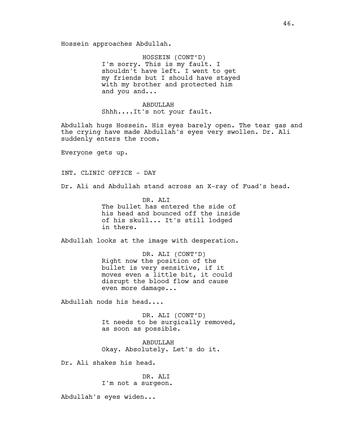HOSSEIN (CONT'D) I'm sorry. This is my fault. I shouldn't have left. I went to get my friends but I should have stayed with my brother and protected him and you and...

ABDULLAH Shhh....It's not your fault.

Abdullah hugs Hossein. His eyes barely open. The tear gas and the crying have made Abdullah's eyes very swollen. Dr. Ali suddenly enters the room.

Everyone gets up.

INT. CLINIC OFFICE - DAY

Dr. Ali and Abdullah stand across an X-ray of Fuad's head.

DR. ALI The bullet has entered the side of his head and bounced off the inside of his skull... It's still lodged in there.

Abdullah looks at the image with desperation.

DR. ALI (CONT'D) Right now the position of the bullet is very sensitive, if it moves even a little bit, it could disrupt the blood flow and cause even more damage...

Abdullah nods his head....

DR. ALI (CONT'D) It needs to be surgically removed, as soon as possible.

ABDULLAH Okay. Absolutely. Let's do it.

Dr. Ali shakes his head.

DR. ALI I'm not a surgeon.

Abdullah's eyes widen...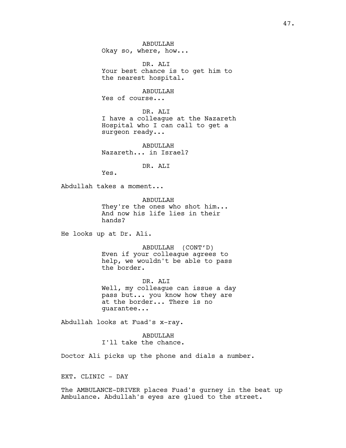ABDULLAH Okay so, where, how...

DR. ALI Your best chance is to get him to the nearest hospital.

ABDULLAH

Yes of course...

DR. ALI I have a colleague at the Nazareth Hospital who I can call to get a surgeon ready...

ABDULLAH Nazareth... in Israel?

DR. ALI

Yes.

Abdullah takes a moment...

ABDULLAH They're the ones who shot him... And now his life lies in their hands?

He looks up at Dr. Ali.

ABDULLAH (CONT'D) Even if your colleague agrees to help, we wouldn't be able to pass the border.

DR. ALI Well, my colleague can issue a day pass but... you know how they are at the border... There is no guarantee...

Abdullah looks at Fuad's x-ray.

ABDULLAH I'll take the chance.

Doctor Ali picks up the phone and dials a number.

EXT. CLINIC - DAY

The AMBULANCE-DRIVER places Fuad's gurney in the beat up Ambulance. Abdullah's eyes are glued to the street.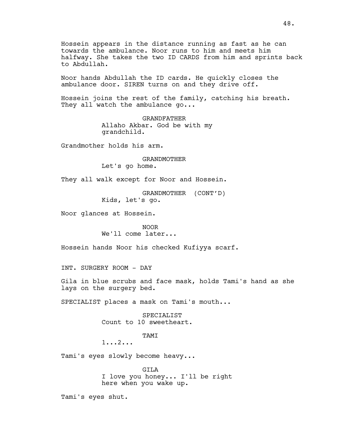Hossein appears in the distance running as fast as he can towards the ambulance. Noor runs to him and meets him halfway. She takes the two ID CARDS from him and sprints back to Abdullah.

Noor hands Abdullah the ID cards. He quickly closes the ambulance door. SIREN turns on and they drive off.

Hossein joins the rest of the family, catching his breath. They all watch the ambulance go...

> GRANDFATHER Allaho Akbar. God be with my grandchild.

Grandmother holds his arm.

GRANDMOTHER Let's go home.

They all walk except for Noor and Hossein.

GRANDMOTHER (CONT'D) Kids, let's go.

Noor glances at Hossein.

NOOR We'll come later...

Hossein hands Noor his checked Kufiyya scarf.

INT. SURGERY ROOM - DAY

Gila in blue scrubs and face mask, holds Tami's hand as she lays on the surgery bed.

SPECIALIST places a mask on Tami's mouth...

SPECIALIST Count to 10 sweetheart.

TAMI

1...2...

Tami's eyes slowly become heavy...

GILA I love you honey... I'll be right here when you wake up.

Tami's eyes shut.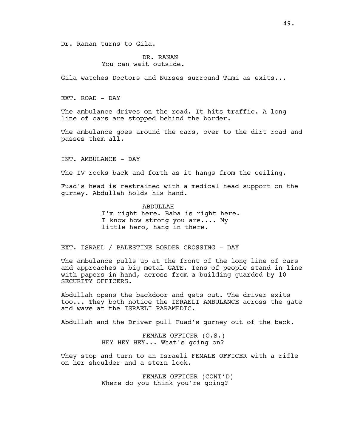Dr. Ranan turns to Gila.

DR. RANAN You can wait outside.

Gila watches Doctors and Nurses surround Tami as exits...

EXT. ROAD - DAY

The ambulance drives on the road. It hits traffic. A long line of cars are stopped behind the border.

The ambulance goes around the cars, over to the dirt road and passes them all.

INT. AMBULANCE - DAY

The IV rocks back and forth as it hangs from the ceiling.

Fuad's head is restrained with a medical head support on the gurney. Abdullah holds his hand.

> **ABDULLAH** I'm right here. Baba is right here. I know how strong you are.... My little hero, hang in there.

EXT. ISRAEL / PALESTINE BORDER CROSSING - DAY

The ambulance pulls up at the front of the long line of cars and approaches a big metal GATE. Tens of people stand in line with papers in hand, across from a building guarded by 10 SECURITY OFFICERS.

Abdullah opens the backdoor and gets out. The driver exits too... They both notice the ISRAELI AMBULANCE across the gate and wave at the ISRAELI PARAMEDIC.

Abdullah and the Driver pull Fuad's gurney out of the back.

FEMALE OFFICER (O.S.) HEY HEY HEY... What's going on?

They stop and turn to an Israeli FEMALE OFFICER with a rifle on her shoulder and a stern look.

> FEMALE OFFICER (CONT'D) Where do you think you're going?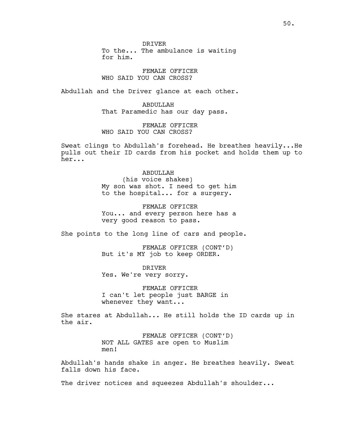DRIVER To the... The ambulance is waiting for him.

FEMALE OFFICER WHO SAID YOU CAN CROSS?

Abdullah and the Driver glance at each other.

ABDULLAH That Paramedic has our day pass.

FEMALE OFFICER WHO SAID YOU CAN CROSS?

Sweat clings to Abdullah's forehead. He breathes heavily...He pulls out their ID cards from his pocket and holds them up to her...

> ABDULLAH (his voice shakes) My son was shot. I need to get him to the hospital... for a surgery.

> FEMALE OFFICER You... and every person here has a very good reason to pass.

She points to the long line of cars and people.

FEMALE OFFICER (CONT'D) But it's MY job to keep ORDER.

DRIVER Yes. We're very sorry.

FEMALE OFFICER I can't let people just BARGE in whenever they want...

She stares at Abdullah... He still holds the ID cards up in the air.

> FEMALE OFFICER (CONT'D) NOT ALL GATES are open to Muslim men!

Abdullah's hands shake in anger. He breathes heavily. Sweat falls down his face.

The driver notices and squeezes Abdullah's shoulder...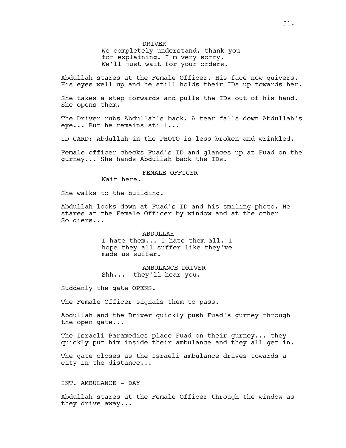DRIVER

We completely understand, thank you for explaining. I'm very sorry. We'll just wait for your orders.

Abdullah stares at the Female Officer. His face now quivers. His eyes well up and he still holds their IDs up towards her.

She takes a step forwards and pulls the IDs out of his hand. She opens them.

The Driver rubs Abdullah's back. A tear falls down Abdullah's eye... But he remains still...

ID CARD: Abdullah in the PHOTO is less broken and wrinkled.

Female officer checks Fuad's ID and glances up at Fuad on the gurney... She hands Abdullah back the IDs.

#### FEMALE OFFICER

Wait here.

She walks to the building.

Abdullah looks down at Fuad's ID and his smiling photo. He stares at the Female Officer by window and at the other Soldiers...

> ABDULLAH I hate them... I hate them all. I hope they all suffer like they've made us suffer.

AMBULANCE DRIVER Shh... they'll hear you.

Suddenly the gate OPENS.

The Female Officer signals them to pass.

Abdullah and the Driver quickly push Fuad's gurney through the open gate...

The Israeli Paramedics place Fuad on their gurney... they quickly put him inside their ambulance and they all get in.

The gate closes as the Israeli ambulance drives towards a city in the distance...

INT. AMBULANCE - DAY

Abdullah stares at the Female Officer through the window as they drive away...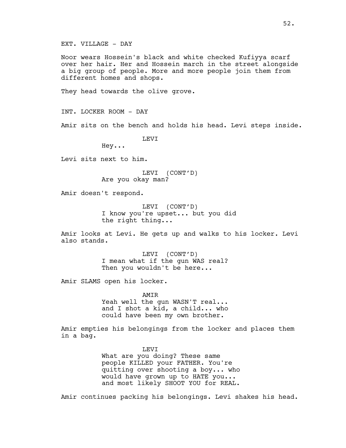EXT. VILLAGE - DAY

Noor wears Hossein's black and white checked Kufiyya scarf over her hair. Her and Hossein march in the street alongside a big group of people. More and more people join them from different homes and shops.

They head towards the olive grove.

INT. LOCKER ROOM - DAY

Amir sits on the bench and holds his head. Levi steps inside.

T.F.VT

Hey...

Levi sits next to him.

LEVI (CONT'D) Are you okay man?

Amir doesn't respond.

LEVI (CONT'D) I know you're upset... but you did the right thing...

Amir looks at Levi. He gets up and walks to his locker. Levi also stands.

> LEVI (CONT'D) I mean what if the gun WAS real? Then you wouldn't be here...

Amir SLAMS open his locker.

AMIR Yeah well the gun WASN'T real... and I shot a kid, a child... who could have been my own brother.

Amir empties his belongings from the locker and places them in a bag.

> LEVI What are you doing? These same people KILLED your FATHER. You're quitting over shooting a boy... who would have grown up to HATE you... and most likely SHOOT YOU for REAL.

Amir continues packing his belongings. Levi shakes his head.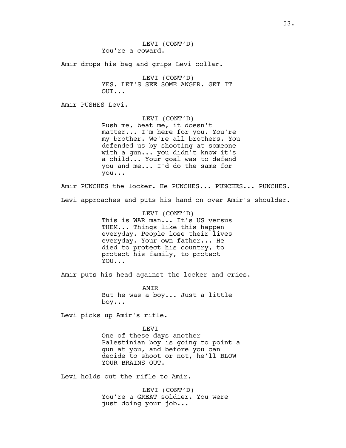Amir drops his bag and grips Levi collar.

LEVI (CONT'D) YES. LET'S SEE SOME ANGER. GET IT OUT...

Amir PUSHES Levi.

LEVI (CONT'D) Push me, beat me, it doesn't matter... I'm here for you. You're my brother. We're all brothers. You defended us by shooting at someone with a gun... you didn't know it's a child... Your goal was to defend you and me... I'd do the same for you...

Amir PUNCHES the locker. He PUNCHES... PUNCHES... PUNCHES. Levi approaches and puts his hand on over Amir's shoulder.

> LEVI (CONT'D) This is WAR man... It's US versus THEM... Things like this happen everyday. People lose their lives everyday. Your own father... He died to protect his country, to protect his family, to protect YOU...

Amir puts his head against the locker and cries.

AMIR But he was a boy... Just a little boy...

Levi picks up Amir's rifle.

LEVI One of these days another Palestinian boy is going to point a gun at you, and before you can decide to shoot or not, he'll BLOW YOUR BRAINS OUT.

Levi holds out the rifle to Amir.

LEVI (CONT'D) You're a GREAT soldier. You were just doing your job...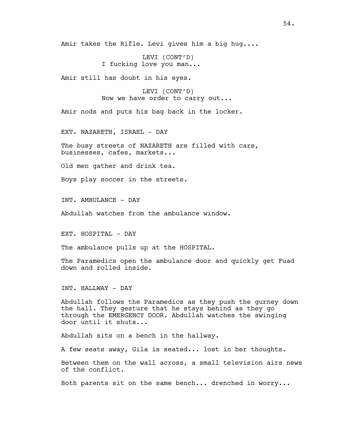Amir takes the Rifle. Levi gives him a big hug....

LEVI (CONT'D) I fucking love you man...

Amir still has doubt in his eyes.

LEVI (CONT'D) Now we have order to carry out...

Amir nods and puts his bag back in the locker.

EXT. NAZARETH, ISRAEL - DAY

The busy streets of NAZARETH are filled with cars, businesses, cafes, markets...

Old men gather and drink tea.

Boys play soccer in the streets.

INT. AMBULANCE - DAY

Abdullah watches from the ambulance window.

EXT. HOSPITAL - DAY

The ambulance pulls up at the HOSPITAL.

The Paramedics open the ambulance door and quickly get Fuad down and rolled inside.

INT. HALLWAY - DAY

Abdullah follows the Paramedics as they push the gurney down the hall. They gesture that he stays behind as they go through the EMERGENCY DOOR. Abdullah watches the swinging door until it shuts...

Abdullah sits on a bench in the hallway.

A few seats away, Gila is seated... lost in her thoughts.

Between them on the wall across, a small television airs news of the conflict.

Both parents sit on the same bench... drenched in worry...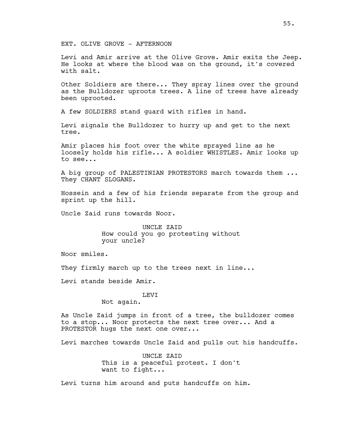EXT. OLIVE GROVE - AFTERNOON

Levi and Amir arrive at the Olive Grove. Amir exits the Jeep. He looks at where the blood was on the ground, it's covered with salt.

Other Soldiers are there... They spray lines over the ground as the Bulldozer uproots trees. A line of trees have already been uprooted.

A few SOLDIERS stand guard with rifles in hand.

Levi signals the Bulldozer to hurry up and get to the next tree.

Amir places his foot over the white sprayed line as he loosely holds his rifle... A soldier WHISTLES. Amir looks up to see...

A big group of PALESTINIAN PROTESTORS march towards them ... They CHANT SLOGANS.

Hossein and a few of his friends separate from the group and sprint up the hill.

Uncle Zaid runs towards Noor.

UNCLE ZAID How could you go protesting without your uncle?

Noor smiles.

They firmly march up to the trees next in line...

Levi stands beside Amir.

LEVI

Not again.

As Uncle Zaid jumps in front of a tree, the bulldozer comes to a stop... Noor protects the next tree over... And a PROTESTOR hugs the next one over...

Levi marches towards Uncle Zaid and pulls out his handcuffs.

UNCLE ZAID This is a peaceful protest. I don't want to fight...

Levi turns him around and puts handcuffs on him.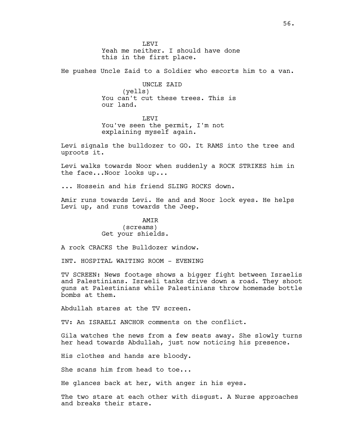**LEVT** Yeah me neither. I should have done this in the first place.

He pushes Uncle Zaid to a Soldier who escorts him to a van.

UNCLE ZAID (yells) You can't cut these trees. This is our land.

**LEVT** You've seen the permit, I'm not explaining myself again.

Levi signals the bulldozer to GO. It RAMS into the tree and uproots it.

Levi walks towards Noor when suddenly a ROCK STRIKES him in the face...Noor looks up...

... Hossein and his friend SLING ROCKS down.

Amir runs towards Levi. He and and Noor lock eyes. He helps Levi up, and runs towards the Jeep.

## AMIR (screams) Get your shields.

A rock CRACKS the Bulldozer window.

INT. HOSPITAL WAITING ROOM - EVENING

TV SCREEN: News footage shows a bigger fight between Israelis and Palestinians. Israeli tanks drive down a road. They shoot guns at Palestinians while Palestinians throw homemade bottle bombs at them.

Abdullah stares at the TV screen.

TV: An ISRAELI ANCHOR comments on the conflict.

Gila watches the news from a few seats away. She slowly turns her head towards Abdullah, just now noticing his presence.

His clothes and hands are bloody.

She scans him from head to toe...

He glances back at her, with anger in his eyes.

The two stare at each other with disgust. A Nurse approaches and breaks their stare.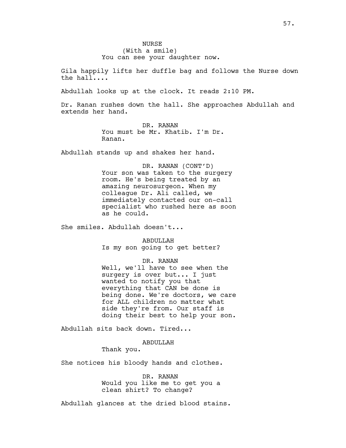Gila happily lifts her duffle bag and follows the Nurse down the hall....

Abdullah looks up at the clock. It reads 2:10 PM.

Dr. Ranan rushes down the hall. She approaches Abdullah and extends her hand.

> DR. RANAN You must be Mr. Khatib. I'm Dr. Ranan.

Abdullah stands up and shakes her hand.

DR. RANAN (CONT'D) Your son was taken to the surgery room. He's being treated by an amazing neurosurgeon. When my colleague Dr. Ali called, we immediately contacted our on-call specialist who rushed here as soon as he could.

She smiles. Abdullah doesn't...

ABDULLAH Is my son going to get better?

#### DR. RANAN

Well, we'll have to see when the surgery is over but... I just wanted to notify you that everything that CAN be done is being done. We're doctors, we care for ALL children no matter what side they're from. Our staff is doing their best to help your son.

Abdullah sits back down. Tired...

#### ABDULLAH

Thank you.

She notices his bloody hands and clothes.

DR. RANAN Would you like me to get you a clean shirt? To change?

Abdullah glances at the dried blood stains.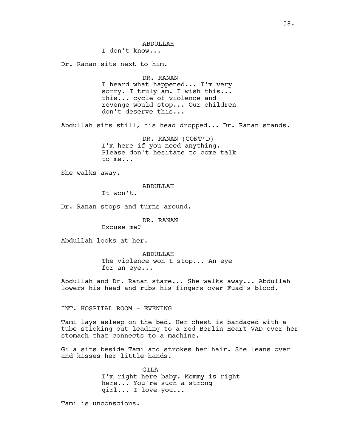**ABDULLAH** I don't know... Dr. Ranan sits next to him. DR. RANAN I heard what happened... I'm very sorry. I truly am. I wish this... this... cycle of violence and revenge would stop... Our children don't deserve this... Abdullah sits still, his head dropped... Dr. Ranan stands. DR. RANAN (CONT'D) I'm here if you need anything. Please don't hesitate to come talk to me... She walks away. ABDULLAH It won't. Dr. Ranan stops and turns around. DR. RANAN Excuse me? Abdullah looks at her. ABDULLAH The violence won't stop... An eye for an eye... Abdullah and Dr. Ranan stare... She walks away... Abdullah lowers his head and rubs his fingers over Fuad's blood. INT. HOSPITAL ROOM - EVENING Tami lays asleep on the bed. Her chest is bandaged with a tube sticking out leading to a red Berlin Heart VAD over her stomach that connects to a machine. Gila sits beside Tami and strokes her hair. She leans over and kisses her little hands. GILA I'm right here baby. Mommy is right here... You're such a strong

girl... I love you...

Tami is unconscious.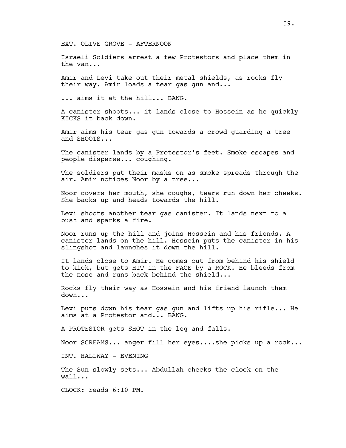EXT. OLIVE GROVE - AFTERNOON

Israeli Soldiers arrest a few Protestors and place them in the van...

Amir and Levi take out their metal shields, as rocks fly their way. Amir loads a tear gas gun and...

... aims it at the hill... BANG.

A canister shoots... it lands close to Hossein as he quickly KICKS it back down.

Amir aims his tear gas gun towards a crowd guarding a tree and SHOOTS...

The canister lands by a Protestor's feet. Smoke escapes and people disperse... coughing.

The soldiers put their masks on as smoke spreads through the air. Amir notices Noor by a tree...

Noor covers her mouth, she coughs, tears run down her cheeks. She backs up and heads towards the hill.

Levi shoots another tear gas canister. It lands next to a bush and sparks a fire.

Noor runs up the hill and joins Hossein and his friends. A canister lands on the hill. Hossein puts the canister in his slingshot and launches it down the hill.

It lands close to Amir. He comes out from behind his shield to kick, but gets HIT in the FACE by a ROCK. He bleeds from the nose and runs back behind the shield...

Rocks fly their way as Hossein and his friend launch them down...

Levi puts down his tear gas gun and lifts up his rifle... He aims at a Protestor and... BANG.

A PROTESTOR gets SHOT in the leg and falls.

Noor SCREAMS... anger fill her eyes....she picks up a rock...

INT. HALLWAY - EVENING

The Sun slowly sets... Abdullah checks the clock on the wall...

CLOCK: reads 6:10 PM.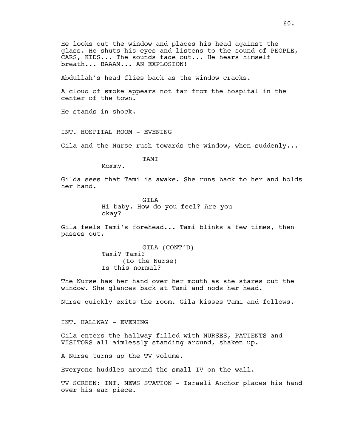He looks out the window and places his head against the glass. He shuts his eyes and listens to the sound of PEOPLE, CARS, KIDS... The sounds fade out... He hears himself breath... BAAAM... AN EXPLOSION!

Abdullah's head flies back as the window cracks.

A cloud of smoke appears not far from the hospital in the center of the town.

He stands in shock.

INT. HOSPITAL ROOM - EVENING

Gila and the Nurse rush towards the window, when suddenly...

TAMI

Mommy.

Gilda sees that Tami is awake. She runs back to her and holds her hand.

> GILA Hi baby. How do you feel? Are you okay?

Gila feels Tami's forehead... Tami blinks a few times, then passes out.

> GILA (CONT'D) Tami? Tami? (to the Nurse) Is this normal?

The Nurse has her hand over her mouth as she stares out the window. She glances back at Tami and nods her head.

Nurse quickly exits the room. Gila kisses Tami and follows.

INT. HALLWAY - EVENING

Gila enters the hallway filled with NURSES, PATIENTS and VISITORS all aimlessly standing around, shaken up.

A Nurse turns up the TV volume.

Everyone huddles around the small TV on the wall.

TV SCREEN: INT. NEWS STATION - Israeli Anchor places his hand over his ear piece.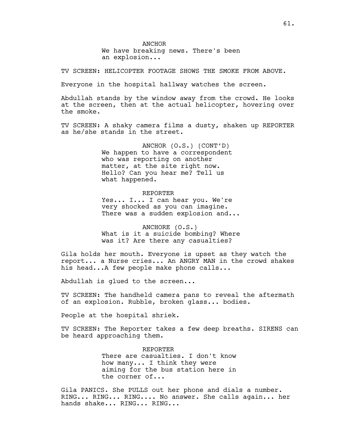ANCHOR We have breaking news. There's been an explosion...

TV SCREEN: HELICOPTER FOOTAGE SHOWS THE SMOKE FROM ABOVE.

Everyone in the hospital hallway watches the screen.

Abdullah stands by the window away from the crowd. He looks at the screen, then at the actual helicopter, hovering over the smoke.

TV SCREEN: A shaky camera films a dusty, shaken up REPORTER as he/she stands in the street.

> ANCHOR (O.S.) (CONT'D) We happen to have a correspondent who was reporting on another matter, at the site right now. Hello? Can you hear me? Tell us what happened.

REPORTER Yes... I... I can hear you. We're very shocked as you can imagine. There was a sudden explosion and...

ANCHORE (O.S.) What is it a suicide bombing? Where was it? Are there any casualties?

Gila holds her mouth. Everyone is upset as they watch the report... a Nurse cries... An ANGRY MAN in the crowd shakes his head...A few people make phone calls...

Abdullah is glued to the screen...

TV SCREEN: The handheld camera pans to reveal the aftermath of an explosion. Rubble, broken glass... bodies.

People at the hospital shriek.

TV SCREEN: The Reporter takes a few deep breaths. SIRENS can be heard approaching them.

> REPORTER There are casualties. I don't know how many... I think they were aiming for the bus station here in the corner of...

Gila PANICS. She PULLS out her phone and dials a number. RING... RING... RING.... No answer. She calls again... her hands shake... RING... RING...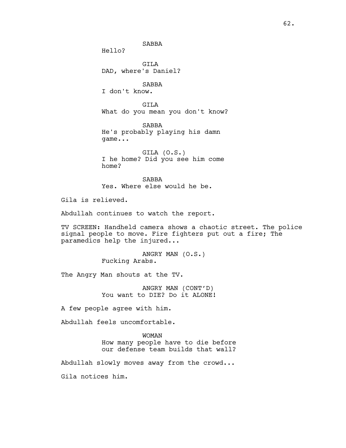SABBA

Hello?

GILA DAD, where's Daniel?

SABBA I don't know.

GILA What do you mean you don't know?

SABBA He's probably playing his damn game...

GILA (O.S.) I he home? Did you see him come home?

SABBA Yes. Where else would he be.

Gila is relieved.

Abdullah continues to watch the report.

TV SCREEN: Handheld camera shows a chaotic street. The police signal people to move. Fire fighters put out a fire; The paramedics help the injured...

> ANGRY MAN (O.S.) Fucking Arabs.

The Angry Man shouts at the TV.

ANGRY MAN (CONT'D) You want to DIE? Do it ALONE!

A few people agree with him.

Abdullah feels uncomfortable.

WOMAN How many people have to die before our defense team builds that wall?

Abdullah slowly moves away from the crowd...

Gila notices him.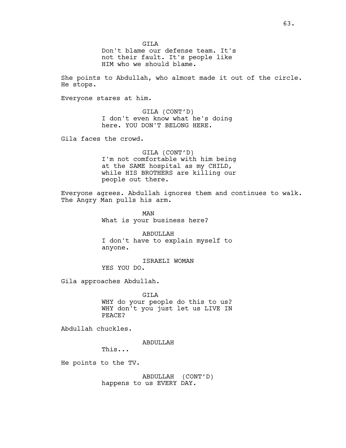GTT<sub>A</sub>

Don't blame our defense team. It's not their fault. It's people like HIM who we should blame.

She points to Abdullah, who almost made it out of the circle. He stops.

Everyone stares at him.

GILA (CONT'D) I don't even know what he's doing here. YOU DON'T BELONG HERE.

Gila faces the crowd.

GILA (CONT'D) I'm not comfortable with him being at the SAME hospital as my CHILD, while HIS BROTHERS are killing our people out there.

Everyone agrees. Abdullah ignores them and continues to walk. The Angry Man pulls his arm.

> MAN What is your business here?

ABDULLAH I don't have to explain myself to anyone.

ISRAELI WOMAN YES YOU DO.

Gila approaches Abdullah.

GILA WHY do your people do this to us? WHY don't you just let us LIVE IN PEACE?

Abdullah chuckles.

ABDULLAH

This...

He points to the TV.

ABDULLAH (CONT'D) happens to us EVERY DAY.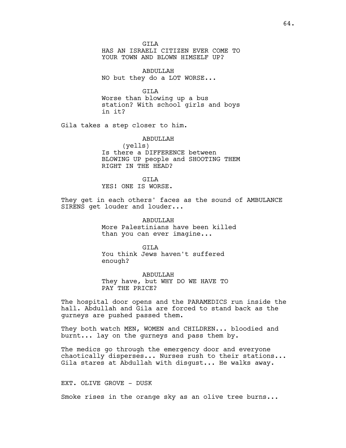GTT<sub>A</sub>

HAS AN ISRAELI CITIZEN EVER COME TO YOUR TOWN AND BLOWN HIMSELF UP?

ABDULLAH NO but they do a LOT WORSE...

GILA Worse than blowing up a bus station? With school girls and boys in it?

Gila takes a step closer to him.

ABDULLAH (yells) Is there a DIFFERENCE between BLOWING UP people and SHOOTING THEM RIGHT IN THE HEAD?

GTT<sub>A</sub> YES! ONE IS WORSE.

They get in each others' faces as the sound of AMBULANCE SIRENS get louder and louder...

> ABDULLAH More Palestinians have been killed than you can ever imagine...

GTT<sub>A</sub> You think Jews haven't suffered enough?

ABDULLAH They have, but WHY DO WE HAVE TO PAY THE PRICE?

The hospital door opens and the PARAMEDICS run inside the hall. Abdullah and Gila are forced to stand back as the gurneys are pushed passed them.

They both watch MEN, WOMEN and CHILDREN... bloodied and burnt... lay on the gurneys and pass them by.

The medics go through the emergency door and everyone chaotically disperses... Nurses rush to their stations... Gila stares at Abdullah with disgust... He walks away.

EXT. OLIVE GROVE - DUSK

Smoke rises in the orange sky as an olive tree burns...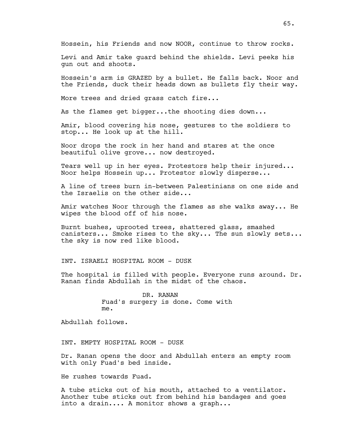Hossein, his Friends and now NOOR, continue to throw rocks.

Levi and Amir take guard behind the shields. Levi peeks his gun out and shoots.

Hossein's arm is GRAZED by a bullet. He falls back. Noor and the Friends, duck their heads down as bullets fly their way.

More trees and dried grass catch fire...

As the flames get bigger...the shooting dies down...

Amir, blood covering his nose, gestures to the soldiers to stop... He look up at the hill.

Noor drops the rock in her hand and stares at the once beautiful olive grove... now destroyed.

Tears well up in her eyes. Protestors help their injured... Noor helps Hossein up... Protestor slowly disperse...

A line of trees burn in-between Palestinians on one side and the Israelis on the other side...

Amir watches Noor through the flames as she walks away... He wipes the blood off of his nose.

Burnt bushes, uprooted trees, shattered glass, smashed canisters... Smoke rises to the sky... The sun slowly sets... the sky is now red like blood.

INT. ISRAELI HOSPITAL ROOM - DUSK

The hospital is filled with people. Everyone runs around. Dr. Ranan finds Abdullah in the midst of the chaos.

> DR. RANAN Fuad's surgery is done. Come with me.

Abdullah follows.

INT. EMPTY HOSPITAL ROOM - DUSK

Dr. Ranan opens the door and Abdullah enters an empty room with only Fuad's bed inside.

He rushes towards Fuad.

A tube sticks out of his mouth, attached to a ventilator. Another tube sticks out from behind his bandages and goes into a drain.... A monitor shows a graph...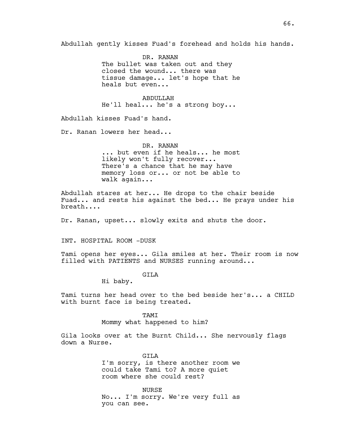Abdullah gently kisses Fuad's forehead and holds his hands.

DR. RANAN The bullet was taken out and they closed the wound... there was tissue damage... let's hope that he heals but even...

ABDULLAH He'll heal... he's a strong boy...

Abdullah kisses Fuad's hand.

Dr. Ranan lowers her head...

DR. RANAN ... but even if he heals... he most likely won't fully recover... There's a chance that he may have memory loss or... or not be able to walk again...

Abdullah stares at her... He drops to the chair beside Fuad... and rests his against the bed... He prays under his breath....

Dr. Ranan, upset... slowly exits and shuts the door.

INT. HOSPITAL ROOM -DUSK

Tami opens her eyes... Gila smiles at her. Their room is now filled with PATIENTS and NURSES running around...

GILA

Hi baby.

Tami turns her head over to the bed beside her's... a CHILD with burnt face is being treated.

TAMI

Mommy what happened to him?

Gila looks over at the Burnt Child... She nervously flags down a Nurse.

> GTT<sub>A</sub> I'm sorry, is there another room we could take Tami to? A more quiet room where she could rest?

> NURSE No... I'm sorry. We're very full as you can see.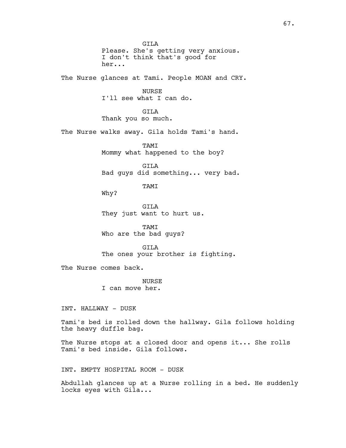GILA Please. She's getting very anxious. I don't think that's good for her... The Nurse glances at Tami. People MOAN and CRY. NURSE I'll see what I can do. GILA Thank you so much. The Nurse walks away. Gila holds Tami's hand. TAMI Mommy what happened to the boy? GILA Bad guys did something... very bad. TAMI Why? GILA They just want to hurt us. TAMI Who are the bad guys? GILA The ones your brother is fighting. The Nurse comes back. **NURSE** I can move her. INT. HALLWAY - DUSK Tami's bed is rolled down the hallway. Gila follows holding the heavy duffle bag. The Nurse stops at a closed door and opens it... She rolls Tami's bed inside. Gila follows. INT. EMPTY HOSPITAL ROOM - DUSK Abdullah glances up at a Nurse rolling in a bed. He suddenly locks eyes with Gila...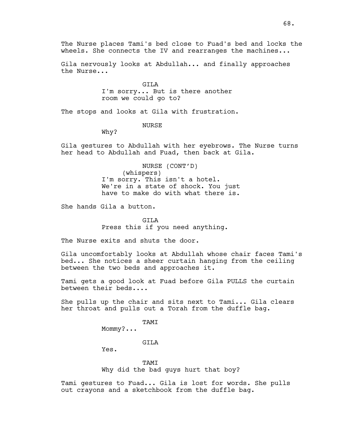The Nurse places Tami's bed close to Fuad's bed and locks the wheels. She connects the IV and rearranges the machines...

Gila nervously looks at Abdullah... and finally approaches the Nurse...

> GILA I'm sorry... But is there another room we could go to?

The stops and looks at Gila with frustration.

#### NURSE

Why?

Gila gestures to Abdullah with her eyebrows. The Nurse turns her head to Abdullah and Fuad, then back at Gila.

> NURSE (CONT'D) (whispers) I'm sorry. This isn't a hotel. We're in a state of shock. You just have to make do with what there is.

She hands Gila a button.

GILA Press this if you need anything.

The Nurse exits and shuts the door.

Gila uncomfortably looks at Abdullah whose chair faces Tami's bed... She notices a sheer curtain hanging from the ceiling between the two beds and approaches it.

Tami gets a good look at Fuad before Gila PULLS the curtain between their beds....

She pulls up the chair and sits next to Tami... Gila clears her throat and pulls out a Torah from the duffle bag.

TAMI

Mommy?...

GILA

Yes.

TAMI Why did the bad guys hurt that boy?

Tami gestures to Fuad... Gila is lost for words. She pulls out crayons and a sketchbook from the duffle bag.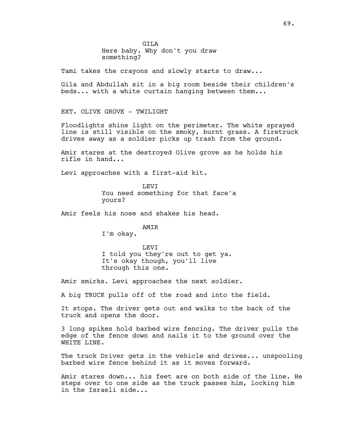GTT<sub>A</sub> Here baby. Why don't you draw something?

Tami takes the crayons and slowly starts to draw...

Gila and Abdullah sit in a big room beside their children's beds... with a white curtain hanging between them...

EXT. OLIVE GROVE - TWILIGHT

Floodlights shine light on the perimeter. The white sprayed line is still visible on the smoky, burnt grass. A firetruck drives away as a soldier picks up trash from the ground.

Amir stares at the destroyed Olive grove as he holds his rifle in hand...

Levi approaches with a first-aid kit.

LEVI You need something for that face'a yours?

Amir feels his nose and shakes his head.

AMIR

I'm okay.

LEVI I told you they're out to get ya. It's okay though, you'll live through this one.

Amir smirks. Levi approaches the next soldier.

A big TRUCK pulls off of the road and into the field.

It stops. The driver gets out and walks to the back of the truck and opens the door.

3 long spikes hold barbed wire fencing. The driver pulls the edge of the fence down and nails it to the ground over the WHITE LINE.

The truck Driver gets in the vehicle and drives... unspooling barbed wire fence behind it as it moves forward.

Amir stares down... his feet are on both side of the line. He steps over to one side as the truck passes him, locking him in the Israeli side...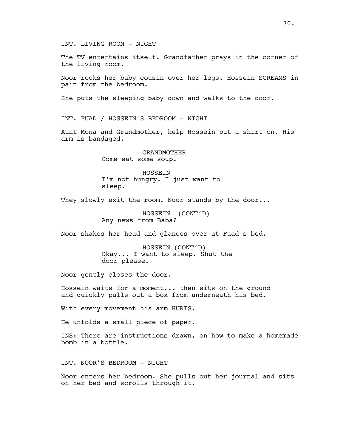## INT. LIVING ROOM - NIGHT

The TV entertains itself. Grandfather prays in the corner of the living room.

Noor rocks her baby cousin over her legs. Hossein SCREAMS in pain from the bedroom.

She puts the sleeping baby down and walks to the door.

INT. FUAD / HOSSEIN'S BEDROOM - NIGHT

Aunt Mona and Grandmother, help Hossein put a shirt on. His arm is bandaged.

> GRANDMOTHER Come eat some soup.

HOSSEIN I'm not hungry. I just want to sleep.

They slowly exit the room. Noor stands by the door...

HOSSEIN (CONT'D) Any news from Baba?

Noor shakes her head and glances over at Fuad's bed.

HOSSEIN (CONT'D) Okay... I want to sleep. Shut the door please.

Noor gently closes the door.

Hossein waits for a moment... then sits on the ground and quickly pulls out a box from underneath his bed.

With every movement his arm HURTS.

He unfolds a small piece of paper.

INS: There are instructions drawn, on how to make a homemade bomb in a bottle.

INT. NOOR'S BEDROOM - NIGHT

Noor enters her bedroom. She pulls out her journal and sits on her bed and scrolls through it.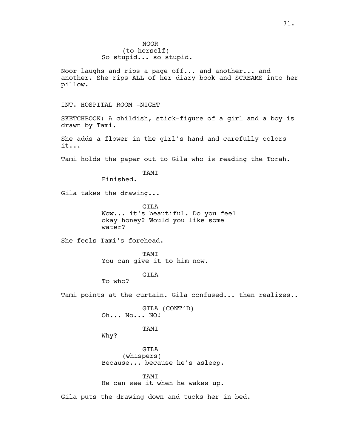Noor laughs and rips a page off... and another... and another. She rips ALL of her diary book and SCREAMS into her pillow.

INT. HOSPITAL ROOM -NIGHT

SKETCHBOOK: A childish, stick-figure of a girl and a boy is drawn by Tami.

She adds a flower in the girl's hand and carefully colors it...

Tami holds the paper out to Gila who is reading the Torah.

TAMI

Finished.

Gila takes the drawing...

GTT<sub>A</sub> Wow... it's beautiful. Do you feel okay honey? Would you like some water?

She feels Tami's forehead.

**TAMT** You can give it to him now.

GILA

To who?

Tami points at the curtain. Gila confused... then realizes..

GILA (CONT'D) Oh... No... NO!

TAMI

Why?

GILA (whispers) Because... because he's asleep.

TAMI He can see it when he wakes up.

Gila puts the drawing down and tucks her in bed.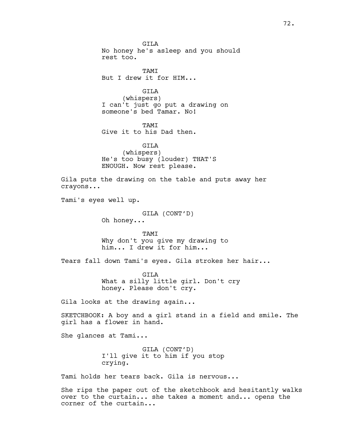GTT<sub>A</sub> No honey he's asleep and you should rest too. **TAMT** But I drew it for HIM... GILA (whispers) I can't just go put a drawing on someone's bed Tamar. No! TAMI Give it to his Dad then. GILA (whispers) He's too busy (louder) THAT'S ENOUGH. Now rest please. Gila puts the drawing on the table and puts away her crayons... Tami's eyes well up. GILA (CONT'D) Oh honey... TAMI Why don't you give my drawing to him... I drew it for him... Tears fall down Tami's eyes. Gila strokes her hair... GILA What a silly little girl. Don't cry honey. Please don't cry. Gila looks at the drawing again... SKETCHBOOK: A boy and a girl stand in a field and smile. The girl has a flower in hand. She glances at Tami... GILA (CONT'D) I'll give it to him if you stop crying. Tami holds her tears back. Gila is nervous... She rips the paper out of the sketchbook and hesitantly walks over to the curtain... she takes a moment and... opens the

corner of the curtain...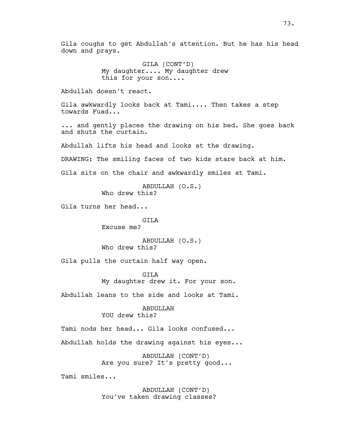Gila coughs to get Abdullah's attention. But he has his head down and prays.

> GILA (CONT'D) My daughter.... My daughter drew this for your son....

Abdullah doesn't react.

Gila awkwardly looks back at Tami.... Then takes a step towards Fuad...

... and gently places the drawing on his bed. She goes back and shuts the curtain.

Abdullah lifts his head and looks at the drawing.

DRAWING: The smiling faces of two kids stare back at him.

Gila sits on the chair and awkwardly smiles at Tami.

ABDULLAH (O.S.) Who drew this?

Gila turns her head...

GILA Excuse me?

ABDULLAH (O.S.) Who drew this?

Gila pulls the curtain half way open.

GILA My daughter drew it. For your son.

Abdullah leans to the side and looks at Tami.

ABDULLAH YOU drew this?

Tami nods her head... Gila looks confused...

Abdullah holds the drawing against his eyes...

ABDULLAH (CONT'D) Are you sure? It's pretty good...

Tami smiles...

ABDULLAH (CONT'D) You've taken drawing classes?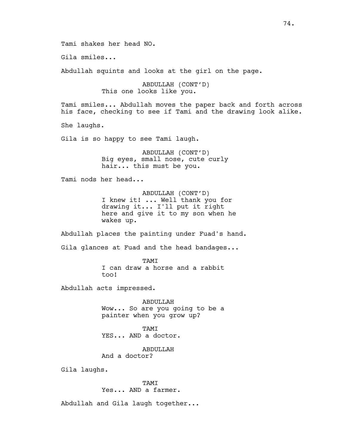Tami shakes her head NO.

Gila smiles...

Abdullah squints and looks at the girl on the page.

ABDULLAH (CONT'D) This one looks like you.

Tami smiles... Abdullah moves the paper back and forth across his face, checking to see if Tami and the drawing look alike.

She laughs.

Gila is so happy to see Tami laugh.

ABDULLAH (CONT'D) Big eyes, small nose, cute curly hair... this must be you.

Tami nods her head...

ABDULLAH (CONT'D) I knew it! ... Well thank you for drawing it... I'll put it right here and give it to my son when he wakes up.

Abdullah places the painting under Fuad's hand. Gila glances at Fuad and the head bandages...

> TAMI I can draw a horse and a rabbit too!

Abdullah acts impressed.

ABDULLAH Wow... So are you going to be a painter when you grow up?

TAMT YES... AND a doctor.

ABDULLAH And a doctor?

Gila laughs.

TAMI Yes... AND a farmer.

Abdullah and Gila laugh together...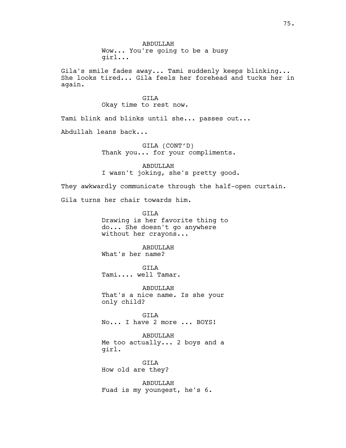Gila's smile fades away... Tami suddenly keeps blinking... She looks tired... Gila feels her forehead and tucks her in again.

# GILA

Okay time to rest now.

Tami blink and blinks until she... passes out...

Abdullah leans back...

GILA (CONT'D) Thank you... for your compliments.

ABDULLAH I wasn't joking, she's pretty good.

They awkwardly communicate through the half-open curtain.

Gila turns her chair towards him.

GILA Drawing is her favorite thing to do... She doesn't go anywhere without her crayons...

ABDULLAH What's her name?

GILA Tami.... well Tamar.

ABDULLAH That's a nice name. Is she your only child?

GILA No... I have 2 more ... BOYS!

ABDULLAH Me too actually... 2 boys and a girl.

GILA How old are they?

ABDULLAH Fuad is my youngest, he's 6.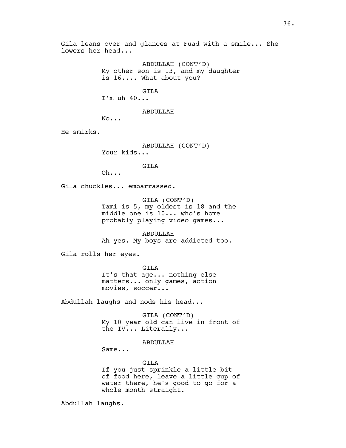Gila leans over and glances at Fuad with a smile... She lowers her head...

> ABDULLAH (CONT'D) My other son is 13, and my daughter is 16.... What about you?

> > GILA

I'm uh 40...

ABDULLAH

No...

He smirks.

ABDULLAH (CONT'D) Your kids...

GILA

Oh...

Gila chuckles... embarrassed.

GILA (CONT'D) Tami is 5, my oldest is 18 and the middle one is 10... who's home probably playing video games...

ABDULLAH Ah yes. My boys are addicted too.

Gila rolls her eyes.

GILA It's that age... nothing else matters... only games, action movies, soccer...

Abdullah laughs and nods his head...

GILA (CONT'D) My 10 year old can live in front of the TV... Literally...

ABDULLAH

Same...

GILA If you just sprinkle a little bit of food here, leave a little cup of water there, he's good to go for a whole month straight.

Abdullah laughs.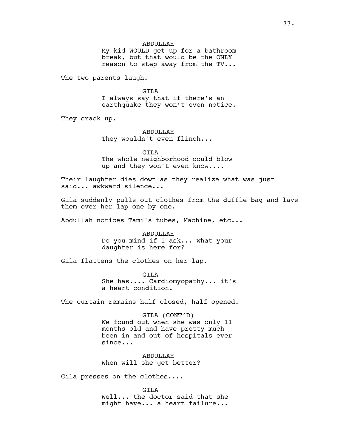#### ABDULLAH

My kid WOULD get up for a bathroom break, but that would be the ONLY reason to step away from the TV...

The two parents laugh.

GILA I always say that if there's an earthquake they won't even notice.

They crack up.

ABDULLAH They wouldn't even flinch...

GILA The whole neighborhood could blow up and they won't even know....

Their laughter dies down as they realize what was just said... awkward silence...

Gila suddenly pulls out clothes from the duffle bag and lays them over her lap one by one.

Abdullah notices Tami's tubes, Machine, etc...

ABDULLAH Do you mind if I ask... what your daughter is here for?

Gila flattens the clothes on her lap.

GILA She has.... Cardiomyopathy... it's a heart condition.

The curtain remains half closed, half opened.

GILA (CONT'D) We found out when she was only 11 months old and have pretty much been in and out of hospitals ever since...

ABDULLAH When will she get better?

Gila presses on the clothes....

GILA Well... the doctor said that she might have... a heart failure...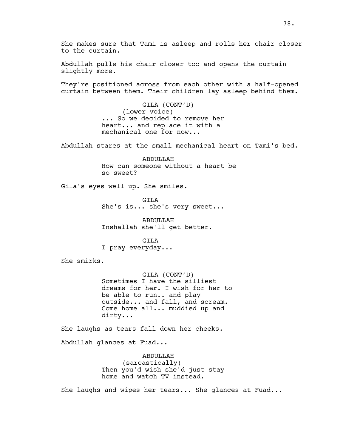Abdullah pulls his chair closer too and opens the curtain slightly more.

They're positioned across from each other with a half-opened curtain between them. Their children lay asleep behind them.

> GILA (CONT'D) (lower voice) ... So we decided to remove her heart... and replace it with a mechanical one for now...

Abdullah stares at the small mechanical heart on Tami's bed.

ABDULLAH How can someone without a heart be so sweet?

Gila's eyes well up. She smiles.

GILA She's is... she's very sweet...

ABDULLAH Inshallah she'll get better.

GTT<sub>A</sub> I pray everyday...

She smirks.

GILA (CONT'D) Sometimes I have the silliest dreams for her. I wish for her to be able to run.. and play outside... and fall, and scream. Come home all... muddied up and dirty...

She laughs as tears fall down her cheeks.

Abdullah glances at Fuad...

ABDULLAH (sarcastically) Then you'd wish she'd just stay home and watch TV instead.

She laughs and wipes her tears... She glances at Fuad...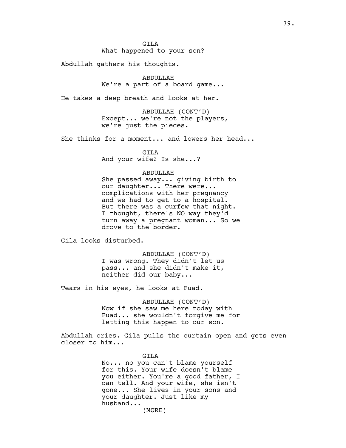# What happened to your son?

Abdullah gathers his thoughts.

ABDULLAH We're a part of a board game...

He takes a deep breath and looks at her.

ABDULLAH (CONT'D) Except... we're not the players, we're just the pieces.

She thinks for a moment... and lowers her head...

# GILA

And your wife? Is she...?

### ABDULLAH

She passed away... giving birth to our daughter... There were... complications with her pregnancy and we had to get to a hospital. But there was a curfew that night. I thought, there's NO way they'd turn away a pregnant woman... So we drove to the border.

Gila looks disturbed.

ABDULLAH (CONT'D) I was wrong. They didn't let us pass... and she didn't make it, neither did our baby...

Tears in his eyes, he looks at Fuad.

ABDULLAH (CONT'D) Now if she saw me here today with Fuad... she wouldn't forgive me for letting this happen to our son.

Abdullah cries. Gila pulls the curtain open and gets even closer to him...

> GILA No... no you can't blame yourself for this. Your wife doesn't blame you either. You're a good father, I can tell. And your wife, she isn't gone... She lives in your sons and your daughter. Just like my husband...

(MORE)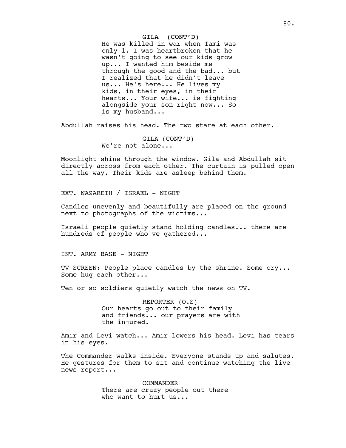#### GILA (CONT'D)

He was killed in war when Tami was only 1. I was heartbroken that he wasn't going to see our kids grow up... I wanted him beside me through the good and the bad... but I realized that he didn't leave us... He's here... He lives my kids, in their eyes, in their hearts... Your wife... is fighting alongside your son right now... So is my husband...

Abdullah raises his head. The two stare at each other.

GILA (CONT'D) We're not alone...

Moonlight shine through the window. Gila and Abdullah sit directly across from each other. The curtain is pulled open all the way. Their kids are asleep behind them.

EXT. NAZARETH / ISRAEL - NIGHT

Candles unevenly and beautifully are placed on the ground next to photographs of the victims...

Israeli people quietly stand holding candles... there are hundreds of people who've gathered...

INT. ARMY BASE - NIGHT

TV SCREEN: People place candles by the shrine. Some cry... Some hug each other...

Ten or so soldiers quietly watch the news on TV.

REPORTER (O.S) Our hearts go out to their family and friends... our prayers are with the injured.

Amir and Levi watch... Amir lowers his head. Levi has tears in his eyes.

The Commander walks inside. Everyone stands up and salutes. He gestures for them to sit and continue watching the live news report...

> COMMANDER There are crazy people out there who want to hurt us...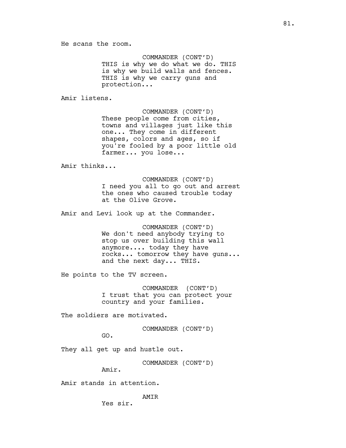COMMANDER (CONT'D) THIS is why we do what we do. THIS is why we build walls and fences. THIS is why we carry guns and protection...

Amir listens.

COMMANDER (CONT'D) These people come from cities, towns and villages just like this one... They come in different shapes, colors and ages, so if you're fooled by a poor little old farmer... you lose...

Amir thinks...

COMMANDER (CONT'D) I need you all to go out and arrest the ones who caused trouble today at the Olive Grove.

Amir and Levi look up at the Commander.

COMMANDER (CONT'D) We don't need anybody trying to stop us over building this wall anymore.... today they have rocks... tomorrow they have guns... and the next day... THIS.

He points to the TV screen.

COMMANDER (CONT'D) I trust that you can protect your country and your families.

The soldiers are motivated.

COMMANDER (CONT'D)

GO.

They all get up and hustle out.

COMMANDER (CONT'D)

Amir.

Amir stands in attention.

AMIR

Yes sir.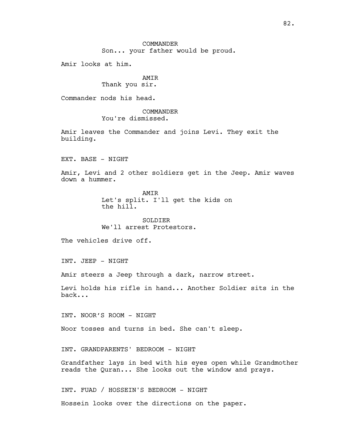# COMMANDER Son... your father would be proud.

Amir looks at him.

### AMIR Thank you sir.

Commander nods his head.

### COMMANDER You're dismissed.

Amir leaves the Commander and joins Levi. They exit the building.

EXT. BASE - NIGHT

Amir, Levi and 2 other soldiers get in the Jeep. Amir waves down a hummer.

> **AMTR** Let's split. I'll get the kids on the hill.

SOLDIER We'll arrest Protestors.

The vehicles drive off.

INT. JEEP - NIGHT

Amir steers a Jeep through a dark, narrow street.

Levi holds his rifle in hand... Another Soldier sits in the back...

INT. NOOR'S ROOM - NIGHT

Noor tosses and turns in bed. She can't sleep.

INT. GRANDPARENTS' BEDROOM - NIGHT

Grandfather lays in bed with his eyes open while Grandmother reads the Quran... She looks out the window and prays.

INT. FUAD / HOSSEIN'S BEDROOM - NIGHT Hossein looks over the directions on the paper.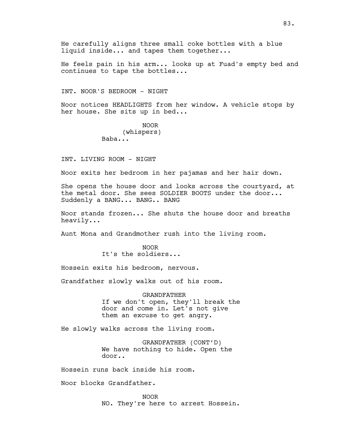He carefully aligns three small coke bottles with a blue liquid inside... and tapes them together...

He feels pain in his arm... looks up at Fuad's empty bed and continues to tape the bottles...

INT. NOOR'S BEDROOM - NIGHT

Noor notices HEADLIGHTS from her window. A vehicle stops by her house. She sits up in bed...

> NOOR (whispers) Baba...

INT. LIVING ROOM - NIGHT

Noor exits her bedroom in her pajamas and her hair down.

She opens the house door and looks across the courtyard, at the metal door. She sees SOLDIER BOOTS under the door... Suddenly a BANG... BANG.. BANG

Noor stands frozen... She shuts the house door and breaths heavily...

Aunt Mona and Grandmother rush into the living room.

NOOR It's the soldiers...

Hossein exits his bedroom, nervous.

Grandfather slowly walks out of his room.

GRANDFATHER If we don't open, they'll break the door and come in. Let's not give them an excuse to get angry.

He slowly walks across the living room.

GRANDFATHER (CONT'D) We have nothing to hide. Open the door..

Hossein runs back inside his room.

Noor blocks Grandfather.

NOOR NO. They're here to arrest Hossein.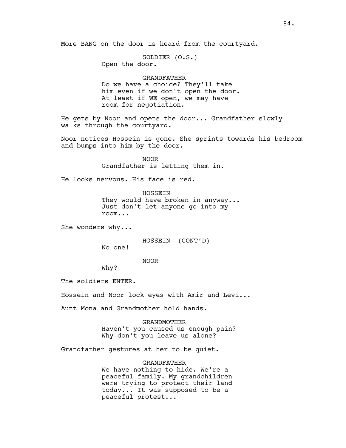More BANG on the door is heard from the courtyard.

SOLDIER (O.S.) Open the door.

#### GRANDFATHER

Do we have a choice? They'll take him even if we don't open the door. At least if WE open, we may have room for negotiation.

He gets by Noor and opens the door... Grandfather slowly walks through the courtyard.

Noor notices Hossein is gone. She sprints towards his bedroom and bumps into him by the door.

> NOOR Grandfather is letting them in.

He looks nervous. His face is red.

HOSSEIN They would have broken in anyway... Just don't let anyone go into my room...

She wonders why...

HOSSEIN (CONT'D)

No one!

NOOR

Why?

The soldiers ENTER.

Hossein and Noor lock eyes with Amir and Levi...

Aunt Mona and Grandmother hold hands.

GRANDMOTHER Haven't you caused us enough pain? Why don't you leave us alone?

Grandfather gestures at her to be quiet.

#### GRANDFATHER

We have nothing to hide. We're a peaceful family. My grandchildren were trying to protect their land today... It was supposed to be a peaceful protest...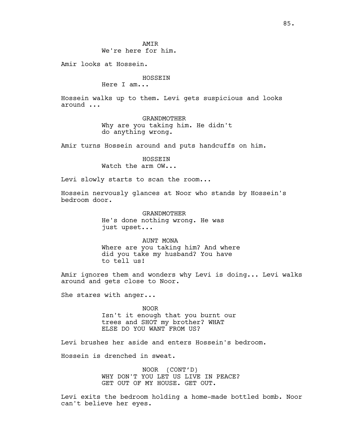AMIR We're here for him.

Amir looks at Hossein.

### HOSSEIN

Here I am...

Hossein walks up to them. Levi gets suspicious and looks around ...

> GRANDMOTHER Why are you taking him. He didn't do anything wrong.

Amir turns Hossein around and puts handcuffs on him.

HOSSEIN Watch the arm OW...

Levi slowly starts to scan the room...

Hossein nervously glances at Noor who stands by Hossein's bedroom door.

> GRANDMOTHER He's done nothing wrong. He was just upset...

AUNT MONA Where are you taking him? And where did you take my husband? You have to tell us!

Amir ignores them and wonders why Levi is doing... Levi walks around and gets close to Noor.

She stares with anger...

NOOR Isn't it enough that you burnt our trees and SHOT my brother? WHAT ELSE DO YOU WANT FROM US?

Levi brushes her aside and enters Hossein's bedroom.

Hossein is drenched in sweat.

NOOR (CONT'D) WHY DON'T YOU LET US LIVE IN PEACE? GET OUT OF MY HOUSE. GET OUT.

Levi exits the bedroom holding a home-made bottled bomb. Noor can't believe her eyes.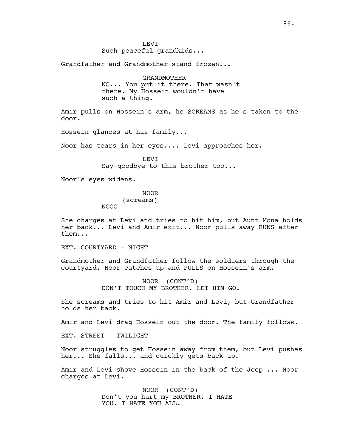Grandfather and Grandmother stand frozen...

GRANDMOTHER NO... You put it there. That wasn't there. My Hossein wouldn't have such a thing.

Amir pulls on Hossein's arm, he SCREAMS as he's taken to the door.

Hossein glances at his family...

Noor has tears in her eyes.... Levi approaches her.

LEVI Say goodbye to this brother too...

Noor's eyes widens.

NOOR

(screams)

NOOO

She charges at Levi and tries to hit him, but Aunt Mona holds her back... Levi and Amir exit... Noor pulls away RUNS after them...

EXT. COURTYARD - NIGHT

Grandmother and Grandfather follow the soldiers through the courtyard, Noor catches up and PULLS on Hossein's arm.

> NOOR (CONT'D) DON'T TOUCH MY BROTHER. LET HIM GO.

She screams and tries to hit Amir and Levi, but Grandfather holds her back.

Amir and Levi drag Hossein out the door. The family follows.

EXT. STREET - TWILIGHT

Noor struggles to get Hossein away from them, but Levi pushes her... She falls... and quickly gets back up.

Amir and Levi shove Hossein in the back of the Jeep ... Noor charges at Levi.

> NOOR (CONT'D) Don't you hurt my BROTHER. I HATE YOU. I HATE YOU ALL.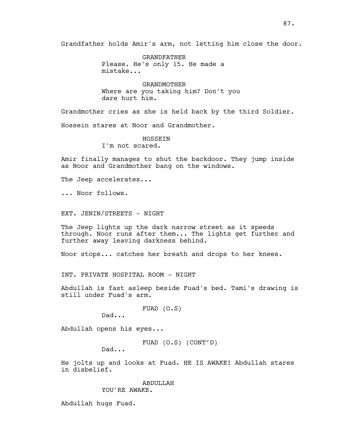Grandfather holds Amir's arm, not letting him close the door.

GRANDFATHER Please. He's only 15. He made a mistake...

GRANDMOTHER Where are you taking him? Don't you dare hurt him.

Grandmother cries as she is held back by the third Soldier.

Hossein stares at Noor and Grandmother.

HOSSEIN I'm not scared.

Amir finally manages to shut the backdoor. They jump inside as Noor and Grandmother bang on the windows.

The Jeep accelerates...

... Noor follows.

EXT. JENIN/STREETS - NIGHT

The Jeep lights up the dark narrow street as it speeds through. Noor runs after them... The lights get further and further away leaving darkness behind.

Noor stops... catches her breath and drops to her knees.

INT. PRIVATE HOSPITAL ROOM - NIGHT

Abdullah is fast asleep beside Fuad's bed. Tami's drawing is still under Fuad's arm.

FUAD (O.S)

Dad...

Abdullah opens his eyes...

FUAD (O.S) (CONT'D)

Dad...

He jolts up and looks at Fuad. HE IS AWAKE! Abdullah stares in disbelief.

ABDULLAH

YOU'RE AWAKE.

Abdullah hugs Fuad.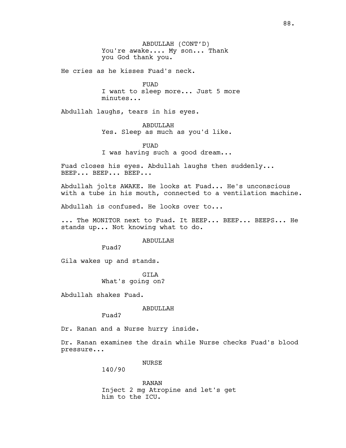ABDULLAH (CONT'D) You're awake.... My son... Thank you God thank you.

He cries as he kisses Fuad's neck.

FUAD I want to sleep more... Just 5 more minutes...

Abdullah laughs, tears in his eyes.

ABDULLAH Yes. Sleep as much as you'd like.

FUAD I was having such a good dream...

Fuad closes his eyes. Abdullah laughs then suddenly... BEEP... BEEP... BEEP...

Abdullah jolts AWAKE. He looks at Fuad... He's unconscious with a tube in his mouth, connected to a ventilation machine.

Abdullah is confused. He looks over to...

... The MONITOR next to Fuad. It BEEP... BEEP... BEEPS... He stands up... Not knowing what to do.

ABDULLAH

Fuad?

Gila wakes up and stands.

GILA What's going on?

Abdullah shakes Fuad.

ABDULLAH

Fuad?

Dr. Ranan and a Nurse hurry inside.

Dr. Ranan examines the drain while Nurse checks Fuad's blood pressure...

NURSE

140/90

RANAN Inject 2 mg Atropine and let's get him to the ICU.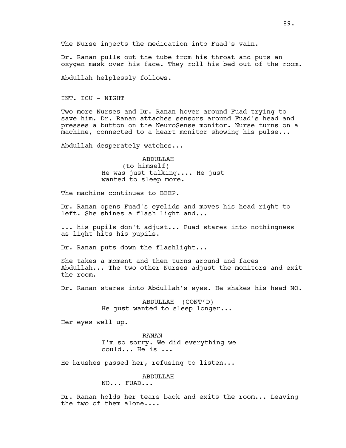The Nurse injects the medication into Fuad's vain.

Dr. Ranan pulls out the tube from his throat and puts an oxygen mask over his face. They roll his bed out of the room.

Abdullah helplessly follows.

INT. ICU - NIGHT

Two more Nurses and Dr. Ranan hover around Fuad trying to save him. Dr. Ranan attaches sensors around Fuad's head and presses a button on the NeuroSense monitor. Nurse turns on a machine, connected to a heart monitor showing his pulse...

Abdullah desperately watches...

ABDULLAH (to himself) He was just talking.... He just wanted to sleep more.

The machine continues to BEEP.

Dr. Ranan opens Fuad's eyelids and moves his head right to left. She shines a flash light and...

... his pupils don't adjust... Fuad stares into nothingness as light hits his pupils.

Dr. Ranan puts down the flashlight...

She takes a moment and then turns around and faces Abdullah... The two other Nurses adjust the monitors and exit the room.

Dr. Ranan stares into Abdullah's eyes. He shakes his head NO.

ABDULLAH (CONT'D) He just wanted to sleep longer...

Her eyes well up.

RANAN I'm so sorry. We did everything we could... He is ...

He brushes passed her, refusing to listen...

ABDULLAH

NO... FUAD...

Dr. Ranan holds her tears back and exits the room... Leaving the two of them alone....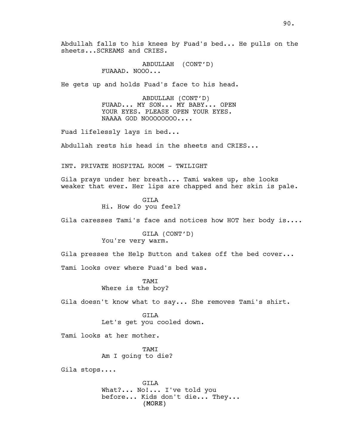Abdullah falls to his knees by Fuad's bed... He pulls on the sheets...SCREAMS and CRIES.

> ABDULLAH (CONT'D) FUAAAD. NOOO...

He gets up and holds Fuad's face to his head.

ABDULLAH (CONT'D) FUAAD... MY SON... MY BABY... OPEN YOUR EYES. PLEASE OPEN YOUR EYES. NAAAA GOD NOOOOOOOO....

Fuad lifelessly lays in bed...

Abdullah rests his head in the sheets and CRIES...

INT. PRIVATE HOSPITAL ROOM - TWILIGHT

Gila prays under her breath... Tami wakes up, she looks weaker that ever. Her lips are chapped and her skin is pale.

> GILA Hi. How do you feel?

Gila caresses Tami's face and notices how HOT her body is....

GILA (CONT'D) You're very warm.

Gila presses the Help Button and takes off the bed cover...

Tami looks over where Fuad's bed was.

**TAMT** Where is the boy?

Gila doesn't know what to say... She removes Tami's shirt.

GILA Let's get you cooled down.

Tami looks at her mother.

TAMI Am I going to die?

Gila stops....

(MORE) GILA What?... No!... I've told you before... Kids don't die... They...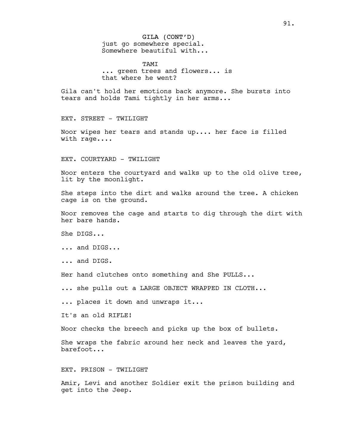GILA (CONT'D) just go somewhere special. Somewhere beautiful with...

TAMT ... green trees and flowers... is that where he went?

Gila can't hold her emotions back anymore. She bursts into tears and holds Tami tightly in her arms...

EXT. STREET - TWILIGHT

Noor wipes her tears and stands up.... her face is filled with rage....

EXT. COURTYARD - TWILIGHT

Noor enters the courtyard and walks up to the old olive tree, lit by the moonlight.

She steps into the dirt and walks around the tree. A chicken cage is on the ground.

Noor removes the cage and starts to dig through the dirt with her bare hands.

She DIGS...

... and DIGS...

... and DIGS.

Her hand clutches onto something and She PULLS...

... she pulls out a LARGE OBJECT WRAPPED IN CLOTH...

... places it down and unwraps it...

It's an old RIFLE!

Noor checks the breech and picks up the box of bullets.

She wraps the fabric around her neck and leaves the yard, barefoot...

EXT. PRISON - TWILIGHT

Amir, Levi and another Soldier exit the prison building and get into the Jeep.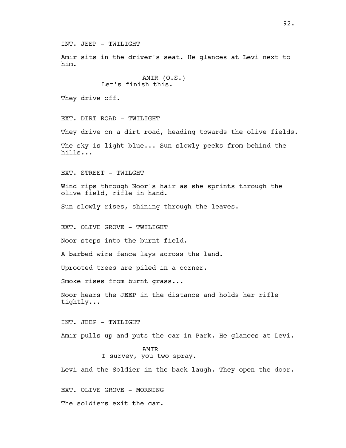INT. JEEP - TWILIGHT

Amir sits in the driver's seat. He glances at Levi next to him.

```
AMIR (O.S.)
Let's finish this.
```
They drive off.

EXT. DIRT ROAD - TWILIGHT

They drive on a dirt road, heading towards the olive fields.

The sky is light blue... Sun slowly peeks from behind the hills...

EXT. STREET - TWILGHT

Wind rips through Noor's hair as she sprints through the olive field, rifle in hand.

Sun slowly rises, shining through the leaves.

EXT. OLIVE GROVE - TWILIGHT

Noor steps into the burnt field.

A barbed wire fence lays across the land.

Uprooted trees are piled in a corner.

Smoke rises from burnt grass...

Noor hears the JEEP in the distance and holds her rifle tightly...

INT. JEEP - TWILIGHT

Amir pulls up and puts the car in Park. He glances at Levi.

AMIR I survey, you two spray.

Levi and the Soldier in the back laugh. They open the door.

EXT. OLIVE GROVE - MORNING

The soldiers exit the car.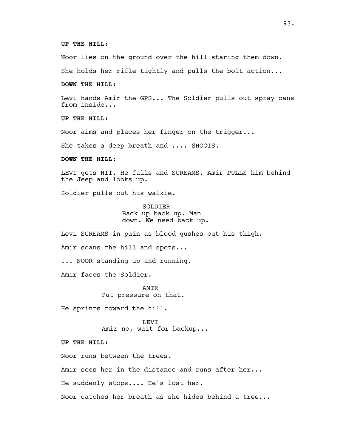### **UP THE HILL:**

Noor lies on the ground over the hill staring them down.

She holds her rifle tightly and pulls the bolt action...

### **DOWN THE HILL:**

Levi hands Amir the GPS... The Soldier pulls out spray cans from inside...

**UP THE HILL:**

Noor aims and places her finger on the trigger...

She takes a deep breath and .... SHOOTS.

### **DOWN THE HILL:**

LEVI gets HIT. He falls and SCREAMS. Amir PULLS him behind the Jeep and looks up.

Soldier pulls out his walkie.

**SOLDIER** Back up back up. Man down. We need back up.

Levi SCREAMS in pain as blood gushes out his thigh.

Amir scans the hill and spots...

... NOOR standing up and running.

Amir faces the Soldier.

AMIR Put pressure on that.

He sprints toward the hill.

LEVI Amir no, wait for backup...

**UP THE HILL:**

Noor runs between the trees.

Amir sees her in the distance and runs after her...

He suddenly stops.... He's lost her.

Noor catches her breath as she hides behind a tree...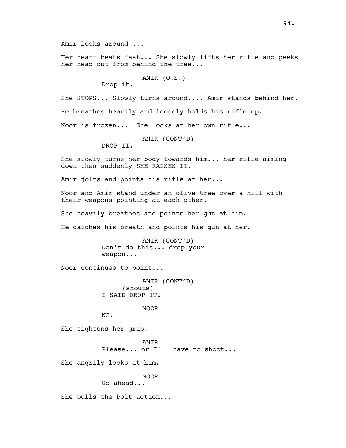Her heart beats fast... She slowly lifts her rifle and peeks her head out from behind the tree...

AMIR (O.S.)

Drop it.

She STOPS... Slowly turns around.... Amir stands behind her.

He breathes heavily and loosely holds his rifle up.

Noor is frozen... She looks at her own rifle...

AMIR (CONT'D)

DROP IT.

She slowly turns her body towards him... her rifle aiming down then suddenly SHE RAISES IT.

Amir jolts and points his rifle at her...

Noor and Amir stand under an olive tree over a hill with their weapons pointing at each other.

She heavily breathes and points her gun at him.

He catches his breath and points his gun at her.

AMIR (CONT'D) Don't do this... drop your weapon...

Noor continues to point...

AMIR (CONT'D) (shouts) I SAID DROP IT.

NOOR

She tightens her grip.

NO.

**AMTR** Please... or I'll have to shoot...

She angrily looks at him.

NOOR

Go ahead...

She pulls the bolt action...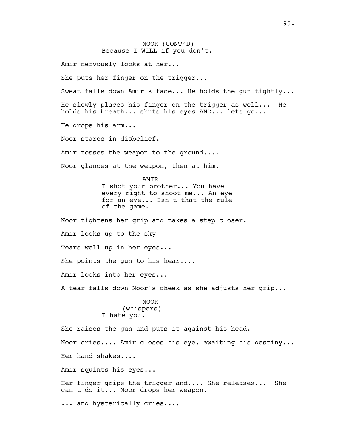NOOR (CONT'D) Because I WILL if you don't. Amir nervously looks at her... She puts her finger on the trigger... Sweat falls down Amir's face... He holds the gun tightly... He slowly places his finger on the trigger as well... He holds his breath... shuts his eyes AND... lets go... He drops his arm... Noor stares in disbelief. Amir tosses the weapon to the ground.... Noor glances at the weapon, then at him. AMIR I shot your brother... You have every right to shoot me... An eye for an eye... Isn't that the rule of the game. Noor tightens her grip and takes a step closer. Amir looks up to the sky Tears well up in her eyes... She points the gun to his heart... Amir looks into her eyes... A tear falls down Noor's cheek as she adjusts her grip... NOOR (whispers) I hate you. She raises the gun and puts it against his head. Noor cries.... Amir closes his eye, awaiting his destiny... Her hand shakes.... Amir squints his eyes... Her finger grips the trigger and.... She releases... She can't do it... Noor drops her weapon. ... and hysterically cries....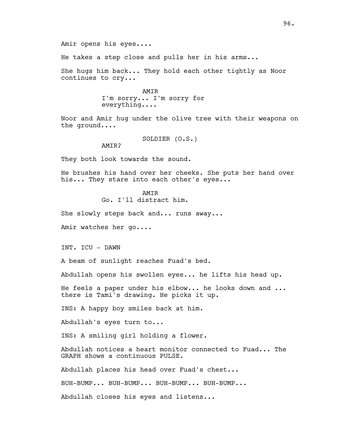He takes a step close and pulls her in his arms...

She hugs him back... They hold each other tightly as Noor continues to cry...

> AMIR I'm sorry... I'm sorry for everything....

Noor and Amir hug under the olive tree with their weapons on the ground....

SOLDIER (O.S.)

AMTR?

They both look towards the sound.

He brushes his hand over her cheeks. She puts her hand over his... They stare into each other's eyes...

**AMTR** 

Go. I'll distract him.

She slowly steps back and... runs away...

Amir watches her go....

INT. ICU - DAWN

A beam of sunlight reaches Fuad's bed.

Abdullah opens his swollen eyes... he lifts his head up.

He feels a paper under his elbow... he looks down and ... there is Tami's drawing. He picks it up.

INS: A happy boy smiles back at him.

Abdullah's eyes turn to...

INS: A smiling girl holding a flower.

Abdullah notices a heart monitor connected to Fuad... The GRAPH shows a continuous PULSE.

Abdullah places his head over Fuad's chest...

BUH-BUMP... BUH-BUMP... BUH-BUMP... BUH-BUMP...

Abdullah closes his eyes and listens...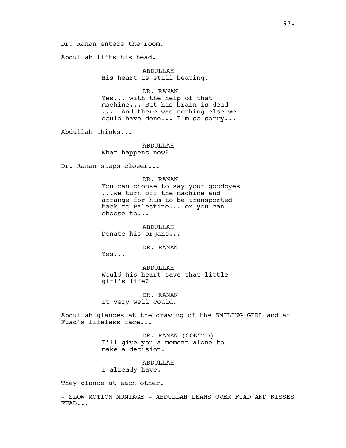Dr. Ranan enters the room.

Abdullah lifts his head.

ABDULLAH His heart is still beating.

DR. RANAN Yes... with the help of that machine... But his brain is dead ... And there was nothing else we

could have done... I'm so sorry...

Abdullah thinks...

ABDULLAH What happens now?

Dr. Ranan steps closer...

DR. RANAN You can choose to say your goodbyes ...we turn off the machine and arrange for him to be transported back to Palestine... or you can choose to...

ABDULLAH Donate his organs...

DR. RANAN

Yes...

ABDULLAH Would his heart save that little girl's life?

DR. RANAN It very well could.

Abdullah glances at the drawing of the SMILING GIRL and at Fuad's lifeless face...

> DR. RANAN (CONT'D) I'll give you a moment alone to make a decision.

ABDULLAH I already have.

They glance at each other.

- SLOW MOTION MONTAGE - ABDULLAH LEANS OVER FUAD AND KISSES FUAD...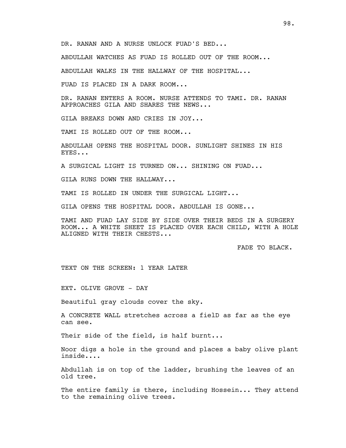DR. RANAN AND A NURSE UNLOCK FUAD'S BED...

ABDULLAH WATCHES AS FUAD IS ROLLED OUT OF THE ROOM...

ABDULLAH WALKS IN THE HALLWAY OF THE HOSPITAL...

FUAD IS PLACED IN A DARK ROOM...

DR. RANAN ENTERS A ROOM. NURSE ATTENDS TO TAMI. DR. RANAN APPROACHES GILA AND SHARES THE NEWS...

GILA BREAKS DOWN AND CRIES IN JOY...

TAMI IS ROLLED OUT OF THE ROOM...

ABDULLAH OPENS THE HOSPITAL DOOR. SUNLIGHT SHINES IN HIS EYES...

A SURGICAL LIGHT IS TURNED ON... SHINING ON FUAD...

GILA RUNS DOWN THE HALLWAY...

TAMI IS ROLLED IN UNDER THE SURGICAL LIGHT...

GILA OPENS THE HOSPITAL DOOR. ABDULLAH IS GONE...

TAMI AND FUAD LAY SIDE BY SIDE OVER THEIR BEDS IN A SURGERY ROOM... A WHITE SHEET IS PLACED OVER EACH CHILD, WITH A HOLE ALIGNED WITH THEIR CHESTS...

FADE TO BLACK.

TEXT ON THE SCREEN: 1 YEAR LATER

EXT. OLIVE GROVE - DAY

Beautiful gray clouds cover the sky.

A CONCRETE WALL stretches across a fielD as far as the eye can see.

Their side of the field, is half burnt...

Noor digs a hole in the ground and places a baby olive plant inside....

Abdullah is on top of the ladder, brushing the leaves of an old tree.

The entire family is there, including Hossein... They attend to the remaining olive trees.